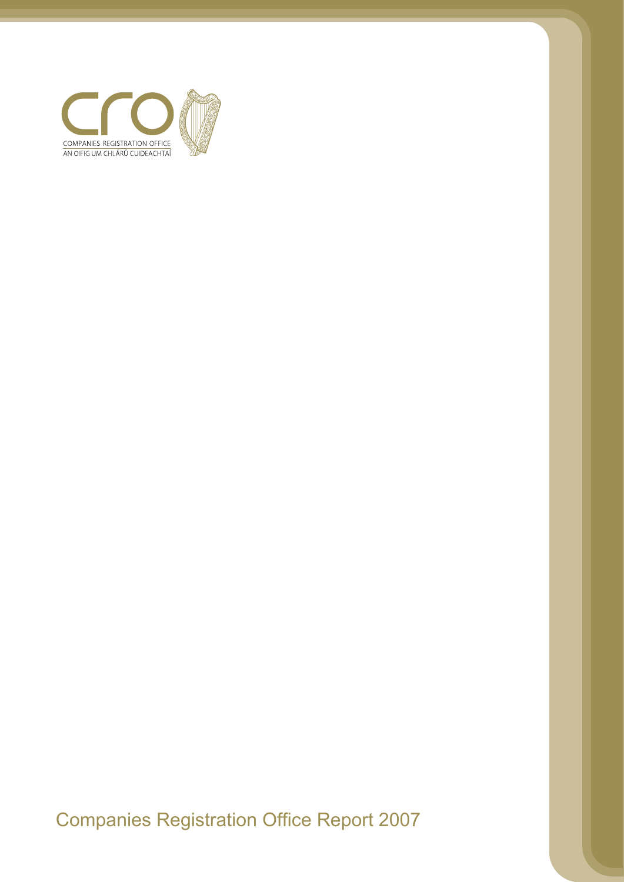

Companies Registration Office Report 2007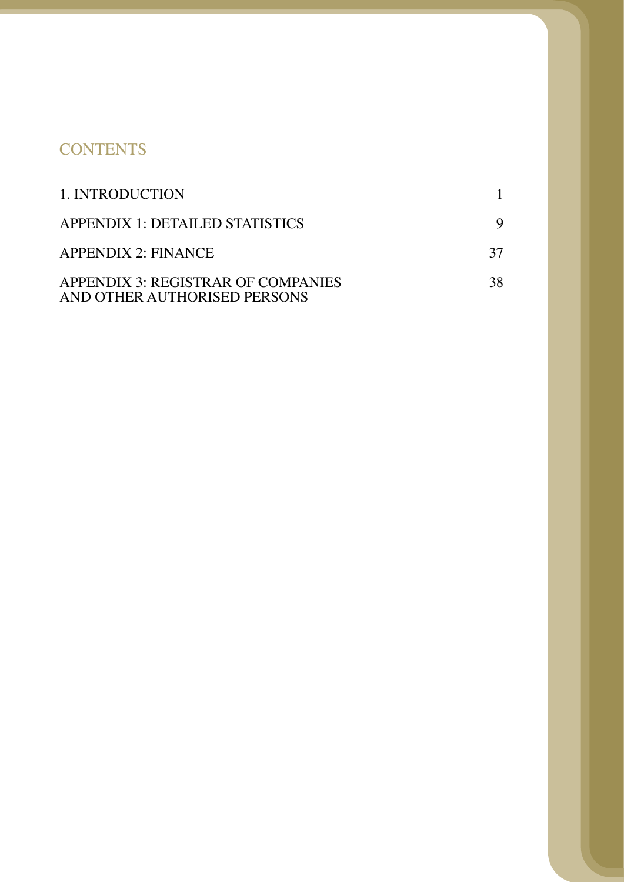# **CONTENTS**

| 1. INTRODUCTION                                                    |    |
|--------------------------------------------------------------------|----|
| APPENDIX 1: DETAILED STATISTICS                                    |    |
| <b>APPENDIX 2: FINANCE</b>                                         | 37 |
| APPENDIX 3: REGISTRAR OF COMPANIES<br>AND OTHER AUTHORISED PERSONS | 38 |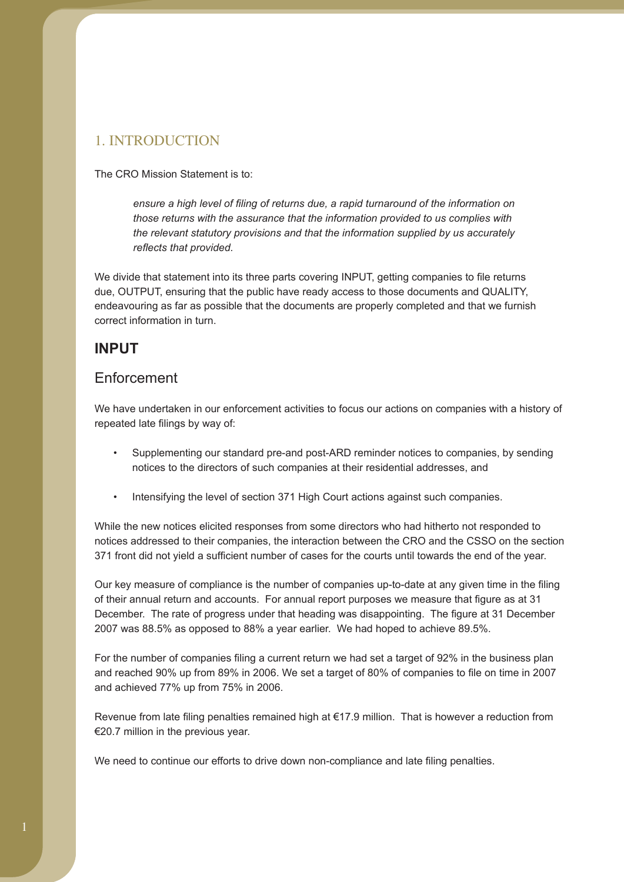## 1. INTRODUCTION

The CRO Mission Statement is to:

*ensure a high level of filing of returns due, a rapid turnaround of the information on those returns with the assurance that the information provided to us complies with the relevant statutory provisions and that the information supplied by us accurately reflects that provided.* 

endeavouring as far as possible that the documents are properly completed and that we furnish correct information in turn. We divide that statement into its three parts covering INPUT, getting companies to file returns due, OUTPUT, ensuring that the public have ready access to those documents and QUALITY,

## **INPUT**

## Enforcement

We have undertaken in our enforcement activities to focus our actions on companies with a history of repeated late filings by way of:

- Supplementing our standard pre-and post-ARD reminder notices to companies, by sending notices to the directors of such companies at their residential addresses, and
- Intensifying the level of section 371 High Court actions against such companies.

While the new notices elicited responses from some directors who had hitherto not responded to notices addressed to their companies, the interaction between the CRO and the CSSO on the section 371 front did not yield a sufficient number of cases for the courts until towards the end of the year.

of their annual return and accounts. For annual report purposes we measure that figure as at 31 December. The rate of progress under that heading was disappointing. The figure at 31 December Our key measure of compliance is the number of companies up-to-date at any given time in the filing 2007 was 88.5% as opposed to 88% a year earlier. We had hoped to achieve 89.5%.

and achieved 77% up from 75% in 2006. For the number of companies filing a current return we had set a target of 92% in the business plan and reached 90% up from 89% in 2006. We set a target of 80% of companies to file on time in 2007

Revenue from late filing penalties remained high at  $E$ 17.9 million. That is however a reduction from €20.7 million in the previous year.

We need to continue our efforts to drive down non-compliance and late filing penalties.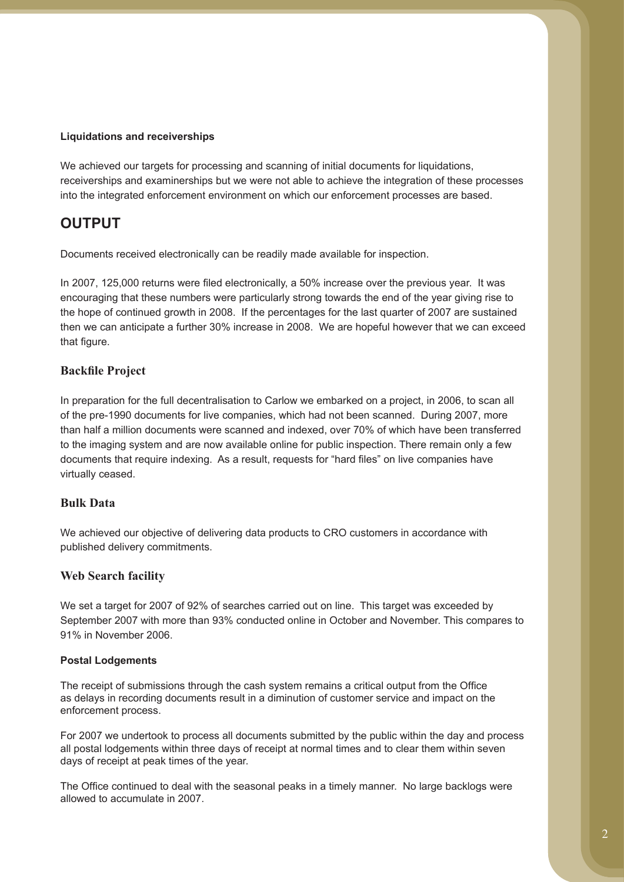#### **Liquidations and receiverships**

We achieved our targets for processing and scanning of initial documents for liquidations, receiverships and examinerships but we were not able to achieve the integration of these processes into the integrated enforcement environment on which our enforcement processes are based.

# **OUTPUT**

Documents received electronically can be readily made available for inspection.

In 2007, 125,000 returns were filed electronically, a 50% increase over the previous year. It was encouraging that these numbers were particularly strong towards the end of the year giving rise to the hope of continued growth in 2008. If the percentages for the last quarter of 2007 are sustained then we can anticipate a further 30% increase in 2008. We are hopeful however that we can exceed that figure.

### **Backfile Project**

In preparation for the full decentralisation to Carlow we embarked on a project, in 2006, to scan all of the pre-1990 documents for live companies, which had not been scanned. During 2007, more than half a million documents were scanned and indexed, over 70% of which have been transferred to the imaging system and are now available online for public inspection. There remain only a few documents that require indexing. As a result, requests for "hard files" on live companies have virtually ceased.

#### **Bulk Data**

We achieved our objective of delivering data products to CRO customers in accordance with published delivery commitments.

#### **Web Search facility**

We set a target for 2007 of 92% of searches carried out on line. This target was exceeded by September 2007 with more than 93% conducted online in October and November. This compares to 91% in November 2006.

#### **Postal Lodgements**

The receipt of submissions through the cash system remains a critical output from the Office as delays in recording documents result in a diminution of customer service and impact on the enforcement process.

For 2007 we undertook to process all documents submitted by the public within the day and process all postal lodgements within three days of receipt at normal times and to clear them within seven days of receipt at peak times of the year.

The Office continued to deal with the seasonal peaks in a timely manner. No large backlogs were allowed to accumulate in 2007.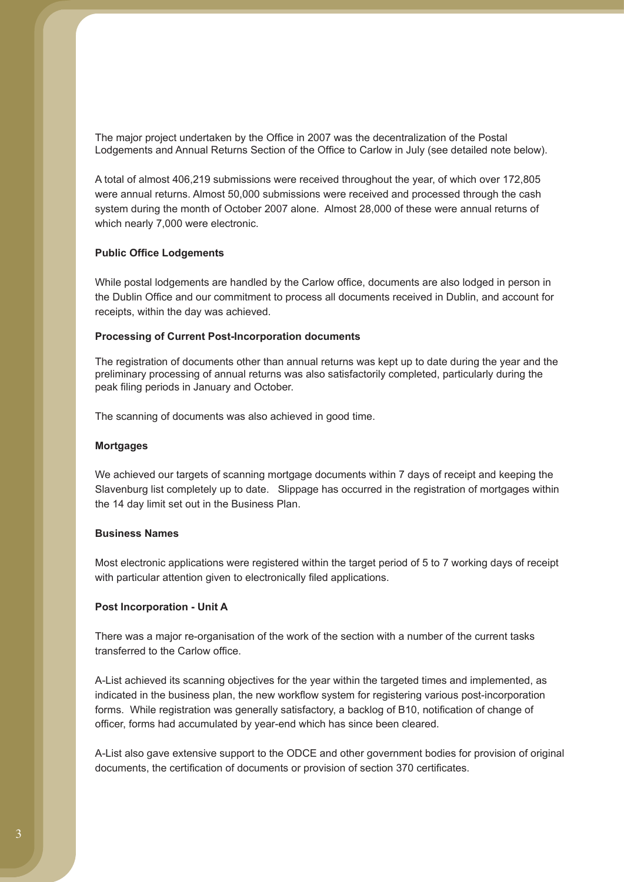The major project undertaken by the Office in 2007 was the decentralization of the Postal Lodgements and Annual Returns Section of the Office to Carlow in July (see detailed note below).

A total of almost 406,219 submissions were received throughout the year, of which over 172,805 were annual returns. Almost 50,000 submissions were received and processed through the cash system during the month of October 2007 alone. Almost 28,000 of these were annual returns of which nearly 7,000 were electronic.

#### **Public Office Lodgements**

While postal lodgements are handled by the Carlow office, documents are also lodged in person in the Dublin Office and our commitment to process all documents received in Dublin, and account for receipts, within the day was achieved.

#### **Processing of Current Post-Incorporation documents**

The registration of documents other than annual returns was kept up to date during the year and the preliminary processing of annual returns was also satisfactorily completed, particularly during the peak filing periods in January and October.

The scanning of documents was also achieved in good time.

#### **Mortgages**

We achieved our targets of scanning mortgage documents within 7 days of receipt and keeping the Slavenburg list completely up to date. Slippage has occurred in the registration of mortgages within the 14 day limit set out in the Business Plan.

#### **Business Names**

Most electronic applications were registered within the target period of 5 to 7 working days of receipt with particular attention given to electronically filed applications.

#### **Post Incorporation - Unit A**

There was a major re-organisation of the work of the section with a number of the current tasks transferred to the Carlow office.

A-List achieved its scanning objectives for the year within the targeted times and implemented, as indicated in the business plan, the new workflow system for registering various post-incorporation forms. While registration was generally satisfactory, a backlog of B10, notification of change of officer, forms had accumulated by year-end which has since been cleared.

A-List also gave extensive support to the ODCE and other government bodies for provision of original documents, the certification of documents or provision of section 370 certificates.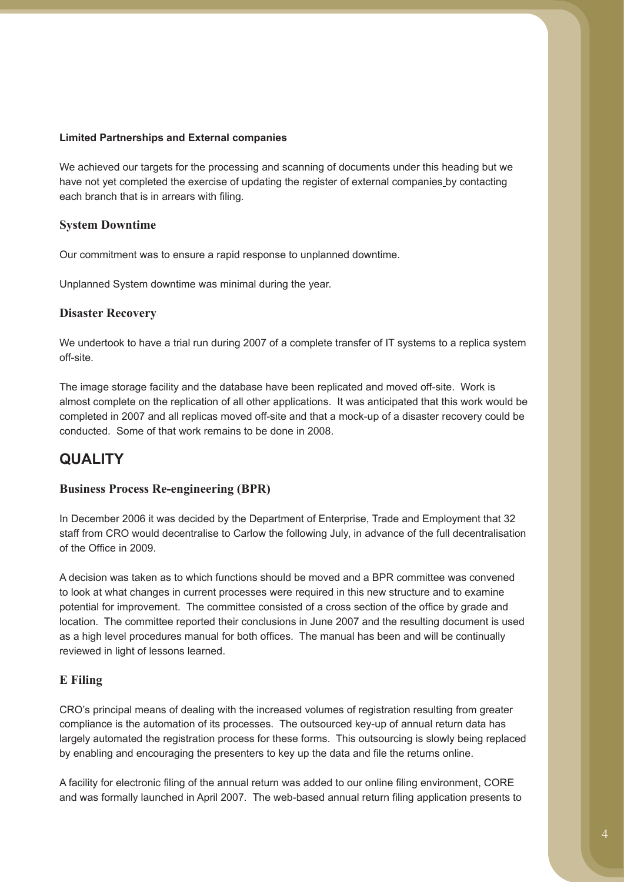#### **Limited Partnerships and External companies**

We achieved our targets for the processing and scanning of documents under this heading but we have not yet completed the exercise of updating the register of external companies by contacting each branch that is in arrears with filing.

### **System Downtime**

Our commitment was to ensure a rapid response to unplanned downtime.

Unplanned System downtime was minimal during the year.

#### **Disaster Recovery**

We undertook to have a trial run during 2007 of a complete transfer of IT systems to a replica system off-site.

The image storage facility and the database have been replicated and moved off-site. Work is almost complete on the replication of all other applications. It was anticipated that this work would be completed in 2007 and all replicas moved off-site and that a mock-up of a disaster recovery could be conducted. Some of that work remains to be done in 2008.

## **QUALITY**

### **Business Process Re-engineering (BPR)**

In December 2006 it was decided by the Department of Enterprise, Trade and Employment that 32 staff from CRO would decentralise to Carlow the following July, in advance of the full decentralisation of the Office in 2009.

A decision was taken as to which functions should be moved and a BPR committee was convened to look at what changes in current processes were required in this new structure and to examine potential for improvement. The committee consisted of a cross section of the office by grade and location. The committee reported their conclusions in June 2007 and the resulting document is used as a high level procedures manual for both offices. The manual has been and will be continually reviewed in light of lessons learned.

### **E Filing**

CRO's principal means of dealing with the increased volumes of registration resulting from greater compliance is the automation of its processes. The outsourced key-up of annual return data has largely automated the registration process for these forms. This outsourcing is slowly being replaced by enabling and encouraging the presenters to key up the data and file the returns online.

A facility for electronic filing of the annual return was added to our online filing environment, CORE and was formally launched in April 2007. The web-based annual return filing application presents to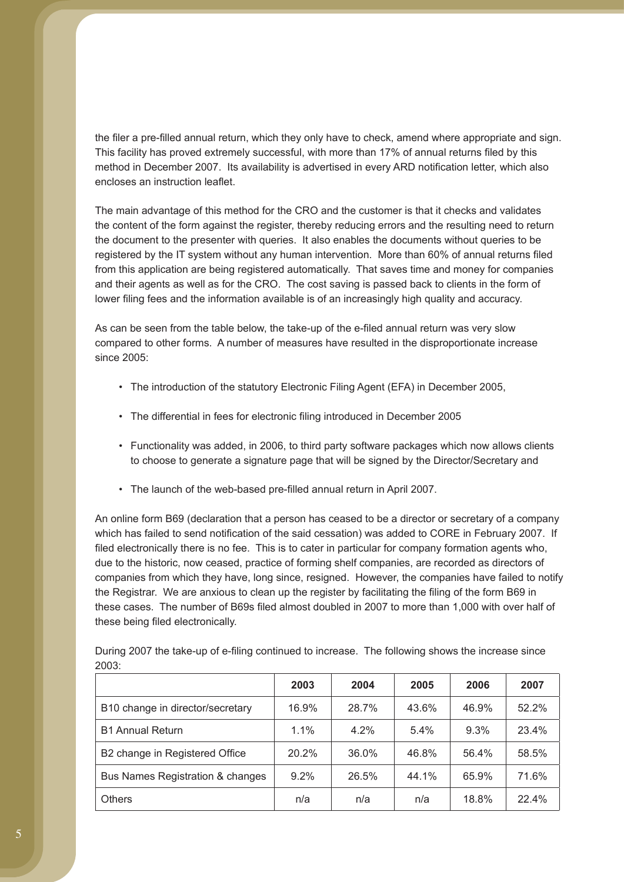the filer a pre-filled annual return, which they only have to check, amend where appropriate and sign. This facility has proved extremely successful, with more than 17% of annual returns filed by this method in December 2007. Its availability is advertised in every ARD notification letter, which also encloses an instruction leaflet.

The main advantage of this method for the CRO and the customer is that it checks and validates the content of the form against the register, thereby reducing errors and the resulting need to return the document to the presenter with queries. It also enables the documents without queries to be registered by the IT system without any human intervention. More than 60% of annual returns filed from this application are being registered automatically. That saves time and money for companies and their agents as well as for the CRO. The cost saving is passed back to clients in the form of lower filing fees and the information available is of an increasingly high quality and accuracy.

As can be seen from the table below, the take-up of the e-filed annual return was very slow compared to other forms. A number of measures have resulted in the disproportionate increase since 2005:

- The introduction of the statutory Electronic Filing Agent (EFA) in December 2005,
- The differential in fees for electronic filing introduced in December 2005
- Functionality was added, in 2006, to third party software packages which now allows clients to choose to generate a signature page that will be signed by the Director/Secretary and
- The launch of the web-based pre-filled annual return in April 2007.

An online form B69 (declaration that a person has ceased to be a director or secretary of a company which has failed to send notification of the said cessation) was added to CORE in February 2007. If filed electronically there is no fee. This is to cater in particular for company formation agents who, due to the historic, now ceased, practice of forming shelf companies, are recorded as directors of companies from which they have, long since, resigned. However, the companies have failed to notify the Registrar. We are anxious to clean up the register by facilitating the filing of the form B69 in these cases. The number of B69s filed almost doubled in 2007 to more than 1,000 with over half of these being filed electronically.

|                                  | 2003    | 2004  | 2005  | 2006  | 2007  |
|----------------------------------|---------|-------|-------|-------|-------|
| B10 change in director/secretary | 16.9%   | 28.7% | 43.6% | 46.9% | 52.2% |
| <b>B1 Annual Return</b>          | 1.1%    | 4.2%  | 5.4%  | 9.3%  | 23.4% |
| B2 change in Registered Office   | 20.2%   | 36.0% | 46.8% | 56.4% | 58.5% |
| Bus Names Registration & changes | $9.2\%$ | 26.5% | 44.1% | 65.9% | 71.6% |
| <b>Others</b>                    | n/a     | n/a   | n/a   | 18.8% | 22.4% |

During 2007 the take-up of e-filing continued to increase. The following shows the increase since 2003: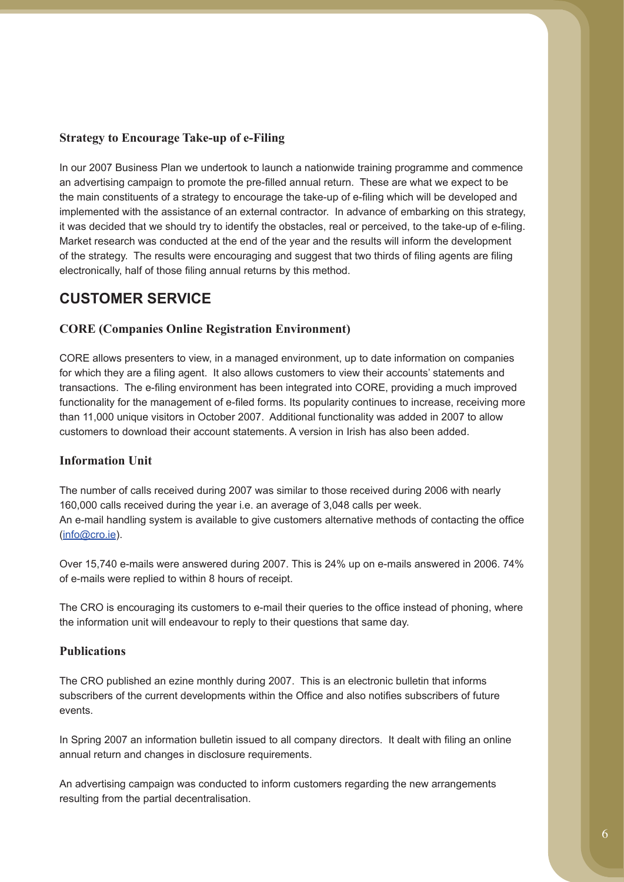### **Strategy to Encourage Take-up of e-Filing**

In our 2007 Business Plan we undertook to launch a nationwide training programme and commence an advertising campaign to promote the pre-filled annual return. These are what we expect to be the main constituents of a strategy to encourage the take-up of e-filing which will be developed and implemented with the assistance of an external contractor. In advance of embarking on this strategy, it was decided that we should try to identify the obstacles, real or perceived, to the take-up of e-filing. Market research was conducted at the end of the year and the results will inform the development of the strategy. The results were encouraging and suggest that two thirds of filing agents are filing electronically, half of those filing annual returns by this method.

# **CUSTOMER SERVICE**

### **CORE (Companies Online Registration Environment)**

CORE allows presenters to view, in a managed environment, up to date information on companies for which they are a filing agent. It also allows customers to view their accounts' statements and transactions. The e-filing environment has been integrated into CORE, providing a much improved functionality for the management of e-filed forms. Its popularity continues to increase, receiving more than 11,000 unique visitors in October 2007. Additional functionality was added in 2007 to allow customers to download their account statements. A version in Irish has also been added.

### **Information Unit**

The number of calls received during 2007 was similar to those received during 2006 with nearly 160,000 calls received during the year i.e. an average of 3,048 calls per week. An e-mail handling system is available to give customers alternative methods of contacting the office (info@cro.ie).

Over 15,740 e-mails were answered during 2007. This is 24% up on e-mails answered in 2006. 74% of e-mails were replied to within 8 hours of receipt.

The CRO is encouraging its customers to e-mail their queries to the office instead of phoning, where the information unit will endeavour to reply to their questions that same day.

#### **Publications**

The CRO published an ezine monthly during 2007. This is an electronic bulletin that informs subscribers of the current developments within the Office and also notifies subscribers of future events.

In Spring 2007 an information bulletin issued to all company directors. It dealt with filing an online annual return and changes in disclosure requirements.

An advertising campaign was conducted to inform customers regarding the new arrangements resulting from the partial decentralisation.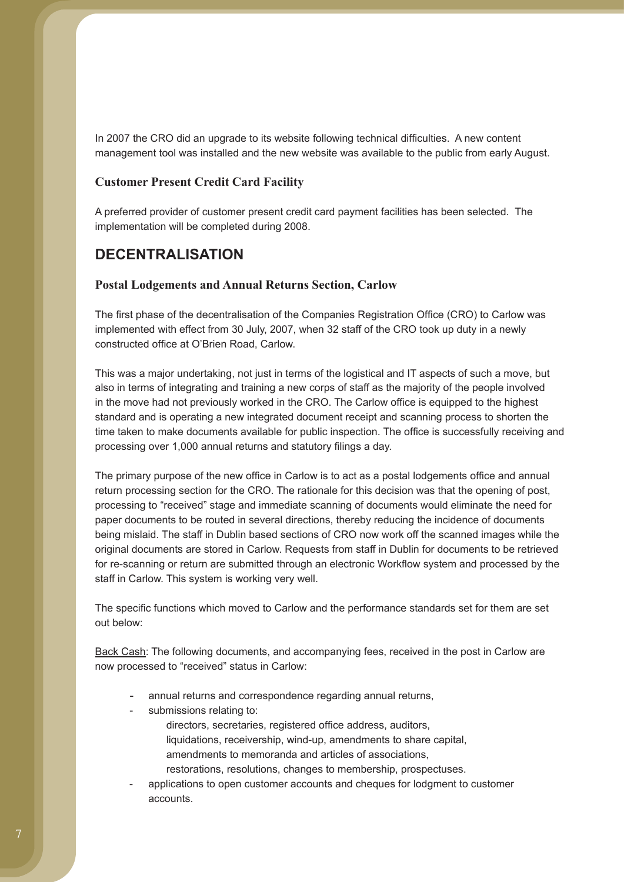In 2007 the CRO did an upgrade to its website following technical difficulties. A new content management tool was installed and the new website was available to the public from early August.

#### **Customer Present Credit Card Facility**

A preferred provider of customer present credit card payment facilities has been selected. The implementation will be completed during 2008.

## **DECENTRALISATION**

#### **Postal Lodgements and Annual Returns Section, Carlow**

The first phase of the decentralisation of the Companies Registration Office (CRO) to Carlow was implemented with effect from 30 July, 2007, when 32 staff of the CRO took up duty in a newly constructed office at O'Brien Road, Carlow.

This was a major undertaking, not just in terms of the logistical and IT aspects of such a move, but also in terms of integrating and training a new corps of staff as the majority of the people involved in the move had not previously worked in the CRO. The Carlow office is equipped to the highest standard and is operating a new integrated document receipt and scanning process to shorten the time taken to make documents available for public inspection. The office is successfully receiving and processing over 1,000 annual returns and statutory filings a day.

The primary purpose of the new office in Carlow is to act as a postal lodgements office and annual return processing section for the CRO. The rationale for this decision was that the opening of post, processing to "received" stage and immediate scanning of documents would eliminate the need for paper documents to be routed in several directions, thereby reducing the incidence of documents being mislaid. The staff in Dublin based sections of CRO now work off the scanned images while the original documents are stored in Carlow. Requests from staff in Dublin for documents to be retrieved for re-scanning or return are submitted through an electronic Workflow system and processed by the staff in Carlow. This system is working very well.

The specific functions which moved to Carlow and the performance standards set for them are set out below:

Back Cash: The following documents, and accompanying fees, received in the post in Carlow are now processed to "received" status in Carlow:

- annual returns and correspondence regarding annual returns,
	- submissions relating to: directors, secretaries, registered office address, auditors, liquidations, receivership, wind-up, amendments to share capital, amendments to memoranda and articles of associations, restorations, resolutions, changes to membership, prospectuses.
- applications to open customer accounts and cheques for lodgment to customer accounts.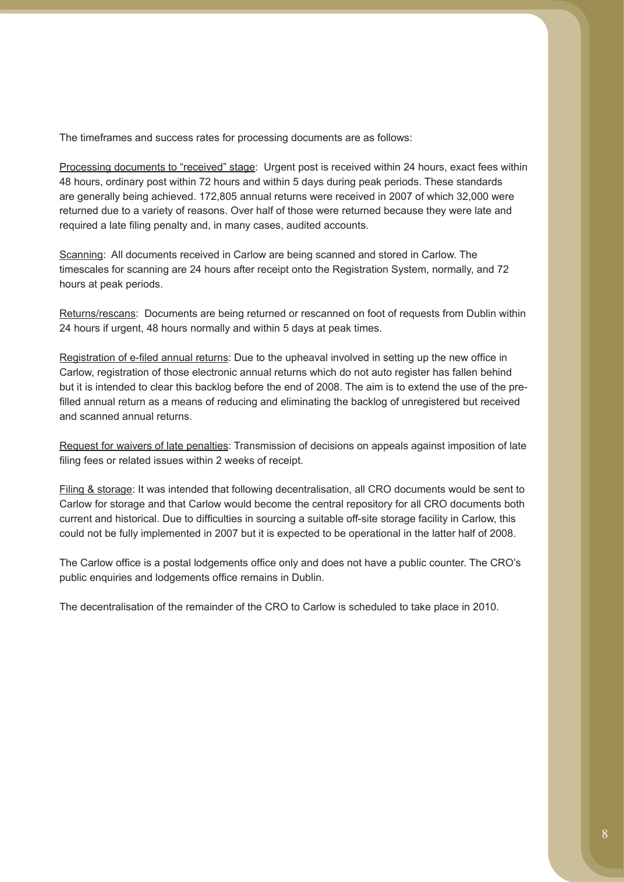The timeframes and success rates for processing documents are as follows:

Processing documents to "received" stage: Urgent post is received within 24 hours, exact fees within 48 hours, ordinary post within 72 hours and within 5 days during peak periods. These standards are generally being achieved. 172,805 annual returns were received in 2007 of which 32,000 were returned due to a variety of reasons. Over half of those were returned because they were late and required a late filing penalty and, in many cases, audited accounts.

Scanning: All documents received in Carlow are being scanned and stored in Carlow. The timescales for scanning are 24 hours after receipt onto the Registration System, normally, and 72 hours at peak periods.

Returns/rescans: Documents are being returned or rescanned on foot of requests from Dublin within 24 hours if urgent, 48 hours normally and within 5 days at peak times.

Registration of e-filed annual returns: Due to the upheaval involved in setting up the new office in Carlow, registration of those electronic annual returns which do not auto register has fallen behind but it is intended to clear this backlog before the end of 2008. The aim is to extend the use of the prefilled annual return as a means of reducing and eliminating the backlog of unregistered but received and scanned annual returns.

Request for waivers of late penalties: Transmission of decisions on appeals against imposition of late filing fees or related issues within 2 weeks of receipt.

Filing & storage: It was intended that following decentralisation, all CRO documents would be sent to Carlow for storage and that Carlow would become the central repository for all CRO documents both current and historical. Due to difficulties in sourcing a suitable off-site storage facility in Carlow, this could not be fully implemented in 2007 but it is expected to be operational in the latter half of 2008.

The Carlow office is a postal lodgements office only and does not have a public counter. The CRO's public enquiries and lodgements office remains in Dublin.

The decentralisation of the remainder of the CRO to Carlow is scheduled to take place in 2010.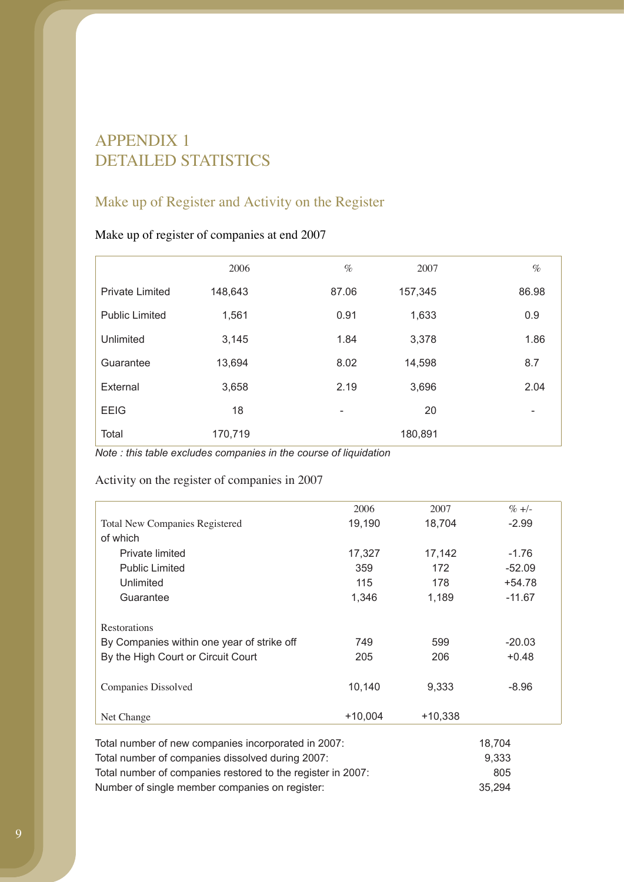# APPENDIX 1 DETAILED STATISTICS

# Make up of Register and Activity on the Register

## Make up of register of companies at end 2007

|                        | 2006    | $\%$  | 2007    | $\%$  |
|------------------------|---------|-------|---------|-------|
| <b>Private Limited</b> | 148,643 | 87.06 | 157,345 | 86.98 |
| <b>Public Limited</b>  | 1,561   | 0.91  | 1,633   | 0.9   |
| Unlimited              | 3,145   | 1.84  | 3,378   | 1.86  |
| Guarantee              | 13,694  | 8.02  | 14,598  | 8.7   |
| External               | 3,658   | 2.19  | 3,696   | 2.04  |
| <b>EEIG</b>            | 18      | -     | 20      | -     |
| Total                  | 170,719 |       | 180,891 |       |

*Note : this table excludes companies in the course of liquidation* 

Activity on the register of companies in 2007

|                                            | 2006      | 2007      | $\% +/-$ |
|--------------------------------------------|-----------|-----------|----------|
| <b>Total New Companies Registered</b>      | 19,190    | 18,704    | $-2.99$  |
| of which                                   |           |           |          |
| Private limited                            | 17,327    | 17,142    | $-1.76$  |
| <b>Public Limited</b>                      | 359       | 172       | $-52.09$ |
| Unlimited                                  | 115       | 178       | $+54.78$ |
| Guarantee                                  | 1,346     | 1,189     | $-11.67$ |
|                                            |           |           |          |
| Restorations                               |           |           |          |
| By Companies within one year of strike off | 749       | 599       | $-20.03$ |
| By the High Court or Circuit Court         | 205       | 206       | $+0.48$  |
|                                            |           |           |          |
| Companies Dissolved                        | 10,140    | 9,333     | $-8.96$  |
|                                            |           |           |          |
| Net Change                                 | $+10,004$ | $+10,338$ |          |

| Total number of new companies incorporated in 2007:         | 18.704 |
|-------------------------------------------------------------|--------|
| Total number of companies dissolved during 2007:            | 9.333  |
| Total number of companies restored to the register in 2007: | 805    |
| Number of single member companies on register:              | 35.294 |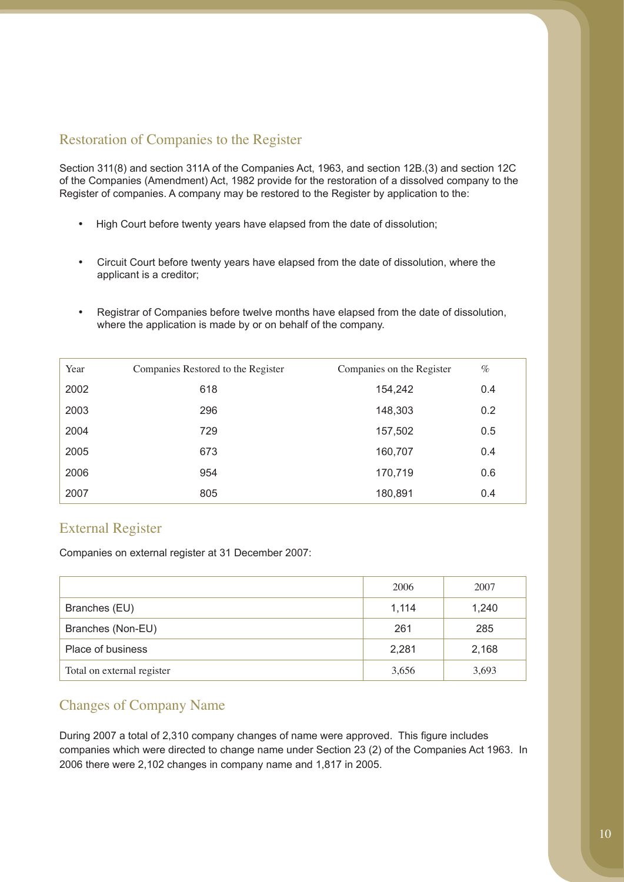## Restoration of Companies to the Register

Section 311(8) and section 311A of the Companies Act, 1963, and section 12B.(3) and section 12C of the Companies (Amendment) Act, 1982 provide for the restoration of a dissolved company to the Register of companies. A company may be restored to the Register by application to the:

- High Court before twenty years have elapsed from the date of dissolution;
- Circuit Court before twenty years have elapsed from the date of dissolution, where the applicant is a creditor;
- Registrar of Companies before twelve months have elapsed from the date of dissolution, where the application is made by or on behalf of the company.

| Year | Companies Restored to the Register | Companies on the Register | $\%$ |
|------|------------------------------------|---------------------------|------|
| 2002 | 618                                | 154,242                   | 0.4  |
| 2003 | 296                                | 148,303                   | 0.2  |
| 2004 | 729                                | 157,502                   | 0.5  |
| 2005 | 673                                | 160,707                   | 0.4  |
| 2006 | 954                                | 170,719                   | 0.6  |
| 2007 | 805                                | 180,891                   | 0.4  |

## External Register

Companies on external register at 31 December 2007:

|                            | 2006  | 2007  |
|----------------------------|-------|-------|
| Branches (EU)              | 1,114 | 1,240 |
| Branches (Non-EU)          | 261   | 285   |
| Place of business          | 2,281 | 2,168 |
| Total on external register | 3,656 | 3,693 |

## Changes of Company Name

During 2007 a total of 2,310 company changes of name were approved. This figure includes companies which were directed to change name under Section 23 (2) of the Companies Act 1963. In 2006 there were 2,102 changes in company name and 1,817 in 2005.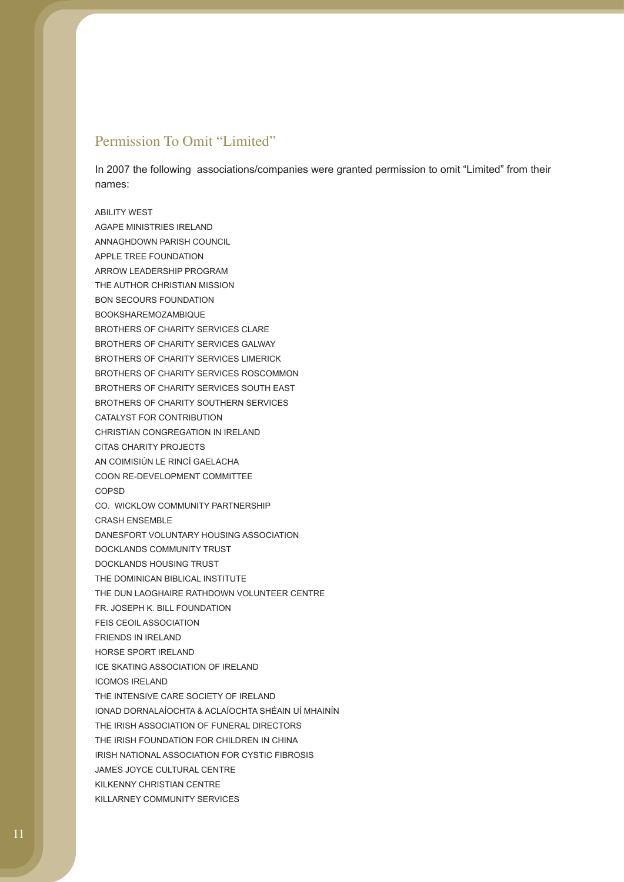### Permission To Omit "Limited"

In 2007 the following associations/companies were granted permission to omit "Limited" from their names:

ABILITY WEST AGAPE MINISTRIES IRELAND ANNAGHDOWN PARISH COUNCIL APPLE TREE FOUNDATION ARROW LEADERSHIP PROGRAM THE AUTHOR CHRISTIAN MISSION BON SECOURS FOUNDATION BOOKSHAREMOZAMBIQUE BROTHERS OF CHARITY SERVICES CLARE BROTHERS OF CHARITY SERVICES GALWAY BROTHERS OF CHARITY SERVICES LIMERICK BROTHERS OF CHARITY SERVICES ROSCOMMON BROTHERS OF CHARITY SERVICES SOUTH EAST BROTHERS OF CHARITY SOUTHERN SERVICES CATALYST FOR CONTRIBUTION CHRISTIAN CONGREGATION IN IRELAND CITAS CHARITY PROJECTS AN COIMISIÚN LE RINCÍ GAELACHA COON RE-DEVELOPMENT COMMITTEE COPSD CO. WICKLOW COMMUNITY PARTNERSHIP CRASH ENSEMBLE DANESFORT VOLUNTARY HOUSING ASSOCIATION DOCKLANDS COMMUNITY TRUST DOCKLANDS HOUSING TRUST THE DOMINICAN BIBLICAL INSTITUTE THE DUN LAOGHAIRE RATHDOWN VOLUNTEER CENTRE FR. JOSEPH K. BILL FOUNDATION FEIS CEOIL ASSOCIATION FRIENDS IN IRELAND HORSE SPORT IRELAND ICE SKATING ASSOCIATION OF IRELAND ICOMOS IRELAND THE INTENSIVE CARE SOCIETY OF IRELAND IONAD DORNALAÍOCHTA & ACLAÍOCHTA SHÉAIN UÍ MHAINÍN THE IRISH ASSOCIATION OF FUNERAL DIRECTORS THE IRISH FOUNDATION FOR CHILDREN IN CHINA IRISH NATIONAL ASSOCIATION FOR CYSTIC FIBROSIS JAMES JOYCE CULTURAL CENTRE KILKENNY CHRISTIAN CENTRE KILLARNEY COMMUNITY SERVICES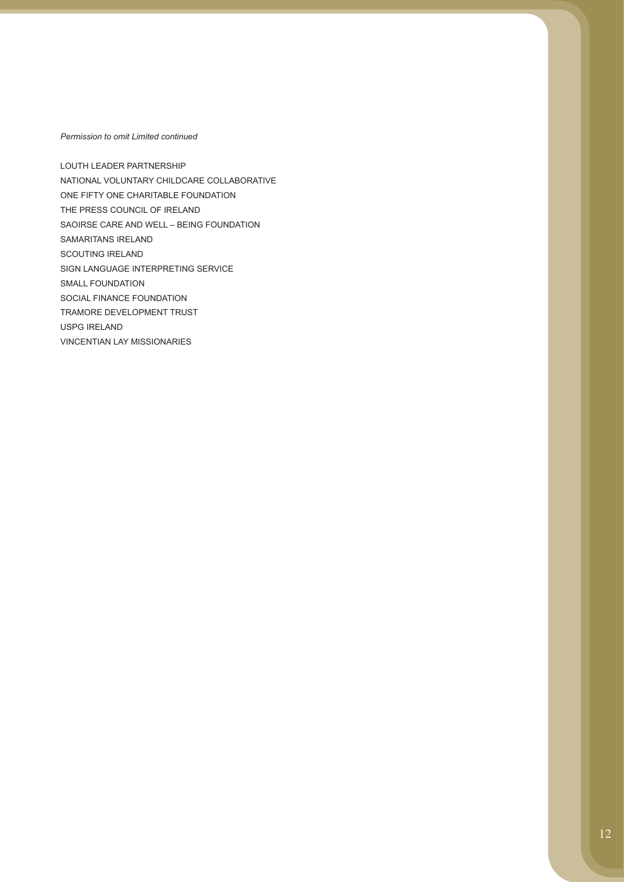*Permission to omit Limited continued* 

LOUTH LEADER PARTNERSHIP NATIONAL VOLUNTARY CHILDCARE COLLABORATIVE ONE FIFTY ONE CHARITABLE FOUNDATION THE PRESS COUNCIL OF IRELAND SAOIRSE CARE AND WELL – BEING FOUNDATION SAMARITANS IRELAND SCOUTING IRELAND SIGN LANGUAGE INTERPRETING SERVICE SMALL FOUNDATION SOCIAL FINANCE FOUNDATION TRAMORE DEVELOPMENT TRUST USPG IRELAND VINCENTIAN LAY MISSIONARIES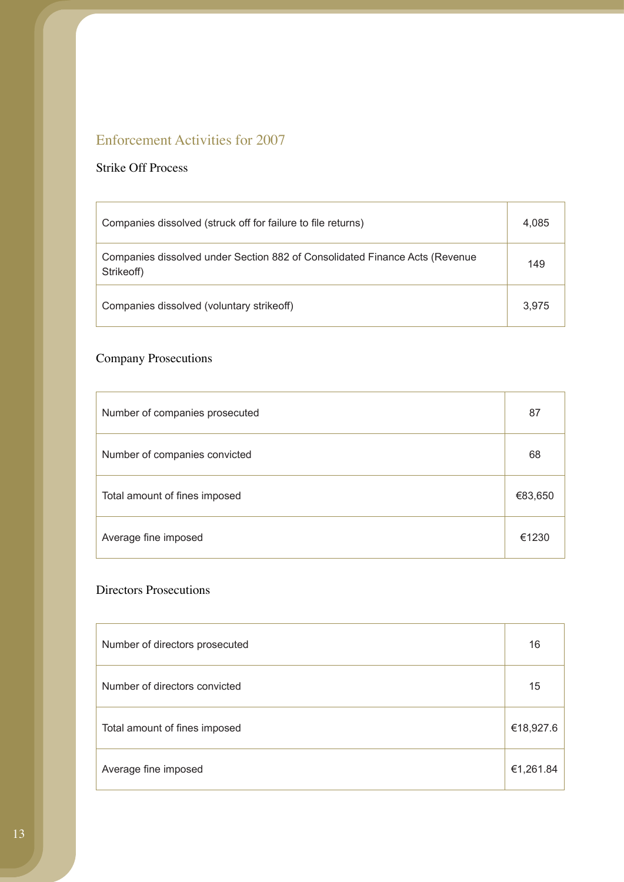# Enforcement Activities for 2007

## Strike Off Process

| Companies dissolved (struck off for failure to file returns)                              | 4,085 |
|-------------------------------------------------------------------------------------------|-------|
| Companies dissolved under Section 882 of Consolidated Finance Acts (Revenue<br>Strikeoff) | 149   |
| Companies dissolved (voluntary strikeoff)                                                 | 3.975 |

# Company Prosecutions

| Number of companies prosecuted | 87      |
|--------------------------------|---------|
| Number of companies convicted  | 68      |
| Total amount of fines imposed  | €83,650 |
| Average fine imposed           | €1230   |

## Directors Prosecutions

| Number of directors prosecuted | 16        |
|--------------------------------|-----------|
| Number of directors convicted  | 15        |
| Total amount of fines imposed  | €18,927.6 |
| Average fine imposed           | €1,261.84 |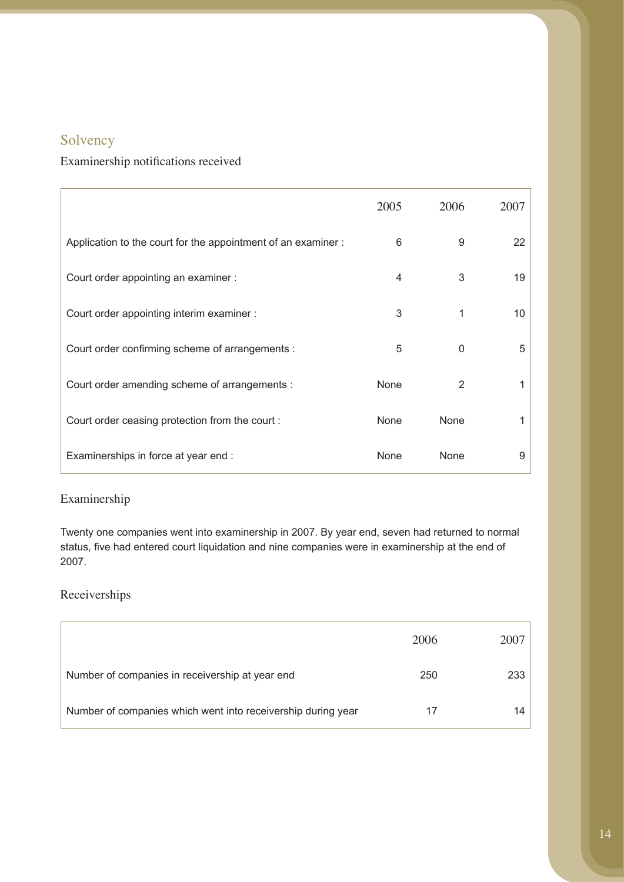# Solvency

# Examinership notifications received

|                                                              | 2005 | 2006         | 2007 |
|--------------------------------------------------------------|------|--------------|------|
| Application to the court for the appointment of an examiner: | 6    | 9            | 22   |
| Court order appointing an examiner :                         | 4    | 3            | 19   |
| Court order appointing interim examiner :                    | 3    | 1            | 10   |
| Court order confirming scheme of arrangements :              | 5    | $\mathbf{0}$ | 5    |
| Court order amending scheme of arrangements :                | None | 2            | 1    |
| Court order ceasing protection from the court :              | None | None         | 1    |
| Examinerships in force at year end :                         | None | None         | 9    |

### Examinership

Twenty one companies went into examinership in 2007. By year end, seven had returned to normal status, five had entered court liquidation and nine companies were in examinership at the end of 2007.

## Receiverships

|                                                              | 2006 | 2007 |
|--------------------------------------------------------------|------|------|
| Number of companies in receivership at year end              | 250  | 233  |
| Number of companies which went into receivership during year | 17   | 14   |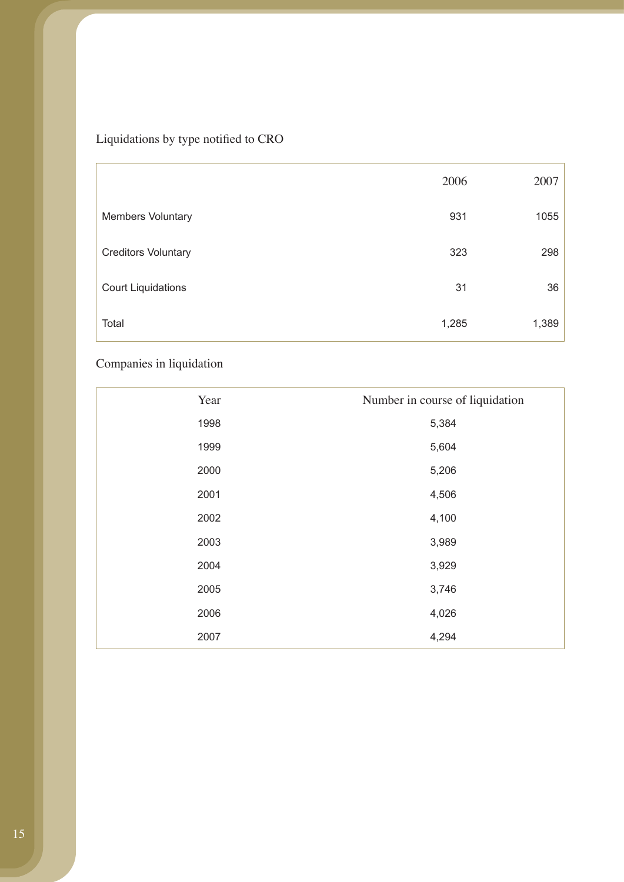# Liquidations by type notified to CRO

|                            | 2006  | 2007  |
|----------------------------|-------|-------|
| <b>Members Voluntary</b>   | 931   | 1055  |
| <b>Creditors Voluntary</b> | 323   | 298   |
| <b>Court Liquidations</b>  | 31    | 36    |
| Total                      | 1,285 | 1,389 |

# Companies in liquidation

| Year | Number in course of liquidation |
|------|---------------------------------|
| 1998 | 5,384                           |
| 1999 | 5,604                           |
| 2000 | 5,206                           |
| 2001 | 4,506                           |
| 2002 | 4,100                           |
| 2003 | 3,989                           |
| 2004 | 3,929                           |
| 2005 | 3,746                           |
| 2006 | 4,026                           |
| 2007 | 4,294                           |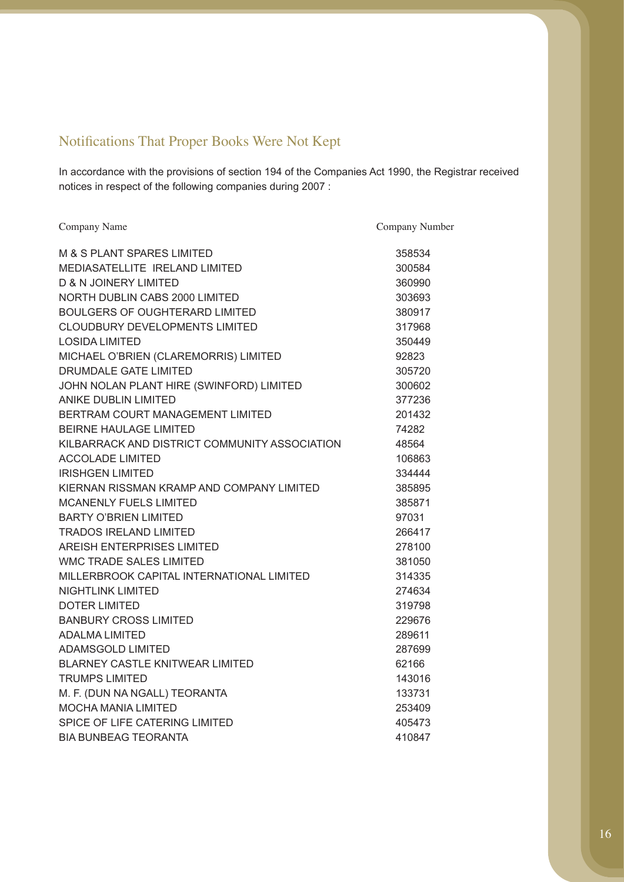# Notifications That Proper Books Were Not Kept

In accordance with the provisions of section 194 of the Companies Act 1990, the Registrar received notices in respect of the following companies during 2007 :

| Company Name                                  | Company Number |
|-----------------------------------------------|----------------|
| M & S PLANT SPARES LIMITED                    | 358534         |
| MEDIASATELLITE IRELAND LIMITED                | 300584         |
| <b>D &amp; N JOINERY LIMITED</b>              | 360990         |
| NORTH DUBLIN CABS 2000 LIMITED                | 303693         |
| <b>BOULGERS OF OUGHTERARD LIMITED</b>         | 380917         |
| <b>CLOUDBURY DEVELOPMENTS LIMITED</b>         | 317968         |
| <b>LOSIDA LIMITED</b>                         | 350449         |
| MICHAEL O'BRIEN (CLAREMORRIS) LIMITED         | 92823          |
| DRUMDALE GATE LIMITED                         | 305720         |
| JOHN NOLAN PLANT HIRE (SWINFORD) LIMITED      | 300602         |
| <b>ANIKE DUBLIN LIMITED</b>                   | 377236         |
| BERTRAM COURT MANAGEMENT LIMITED              | 201432         |
| <b>BEIRNE HAULAGE LIMITED</b>                 | 74282          |
| KILBARRACK AND DISTRICT COMMUNITY ASSOCIATION | 48564          |
| <b>ACCOLADE LIMITED</b>                       | 106863         |
| <b>IRISHGEN LIMITED</b>                       | 334444         |
| KIERNAN RISSMAN KRAMP AND COMPANY LIMITED     | 385895         |
| <b>MCANENLY FUELS LIMITED</b>                 | 385871         |
| <b>BARTY O'BRIEN LIMITED</b>                  | 97031          |
| <b>TRADOS IRELAND LIMITED</b>                 | 266417         |
| <b>AREISH ENTERPRISES LIMITED</b>             | 278100         |
| WMC TRADE SALES LIMITED                       | 381050         |
| MILLERBROOK CAPITAL INTERNATIONAL LIMITED     | 314335         |
| NIGHTLINK LIMITED                             | 274634         |
| <b>DOTER LIMITED</b>                          | 319798         |
| <b>BANBURY CROSS LIMITED</b>                  | 229676         |
| <b>ADALMA LIMITED</b>                         | 289611         |
| <b>ADAMSGOLD LIMITED</b>                      | 287699         |
| BLARNEY CASTLE KNITWEAR LIMITED               | 62166          |
| <b>TRUMPS LIMITED</b>                         | 143016         |
| M. F. (DUN NA NGALL) TEORANTA                 | 133731         |
| <b>MOCHA MANIA LIMITED</b>                    | 253409         |
| SPICE OF LIFE CATERING LIMITED                | 405473         |
| <b>BIA BUNBEAG TEORANTA</b>                   | 410847         |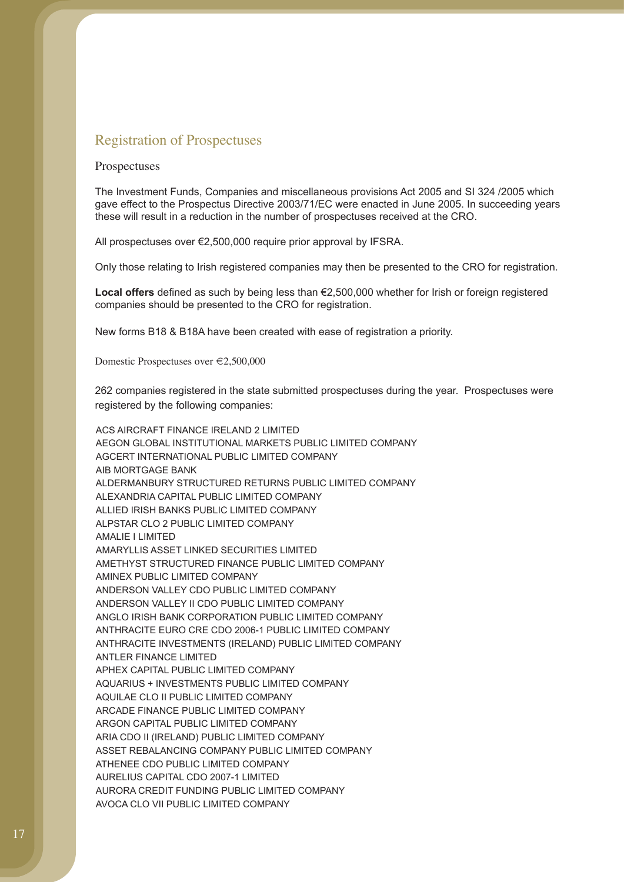### Registration of Prospectuses

#### Prospectuses

The Investment Funds, Companies and miscellaneous provisions Act 2005 and SI 324 /2005 which gave effect to the Prospectus Directive 2003/71/EC were enacted in June 2005. In succeeding years these will result in a reduction in the number of prospectuses received at the CRO.

All prospectuses over €2,500,000 require prior approval by IFSRA.

Only those relating to Irish registered companies may then be presented to the CRO for registration.

**Local offers** defined as such by being less than €2,500,000 whether for Irish or foreign registered companies should be presented to the CRO for registration.

New forms B18 & B18A have been created with ease of registration a priority.

Domestic Prospectuses over €2,500,000

262 companies registered in the state submitted prospectuses during the year. Prospectuses were registered by the following companies:

ACS AIRCRAFT FINANCE IRELAND 2 LIMITED AEGON GLOBAL INSTITUTIONAL MARKETS PUBLIC LIMITED COMPANY AGCERT INTERNATIONAL PUBLIC LIMITED COMPANY AIB MORTGAGE BANK ALDERMANBURY STRUCTURED RETURNS PUBLIC LIMITED COMPANY ALEXANDRIA CAPITAL PUBLIC LIMITED COMPANY ALLIED IRISH BANKS PUBLIC LIMITED COMPANY ALPSTAR CLO 2 PUBLIC LIMITED COMPANY AMALIE I LIMITED AMARYLLIS ASSET LINKED SECURITIES LIMITED AMETHYST STRUCTURED FINANCE PUBLIC LIMITED COMPANY AMINEX PUBLIC LIMITED COMPANY ANDERSON VALLEY CDO PUBLIC LIMITED COMPANY ANDERSON VALLEY II CDO PUBLIC LIMITED COMPANY ANGLO IRISH BANK CORPORATION PUBLIC LIMITED COMPANY ANTHRACITE EURO CRE CDO 2006-1 PUBLIC LIMITED COMPANY ANTHRACITE INVESTMENTS (IRELAND) PUBLIC LIMITED COMPANY ANTLER FINANCE LIMITED APHEX CAPITAL PUBLIC LIMITED COMPANY AQUARIUS + INVESTMENTS PUBLIC LIMITED COMPANY AQUILAE CLO II PUBLIC LIMITED COMPANY ARCADE FINANCE PUBLIC LIMITED COMPANY ARGON CAPITAL PUBLIC LIMITED COMPANY ARIA CDO II (IRELAND) PUBLIC LIMITED COMPANY ASSET REBALANCING COMPANY PUBLIC LIMITED COMPANY ATHENEE CDO PUBLIC LIMITED COMPANY AURELIUS CAPITAL CDO 2007-1 LIMITED AURORA CREDIT FUNDING PUBLIC LIMITED COMPANY AVOCA CLO VII PUBLIC LIMITED COMPANY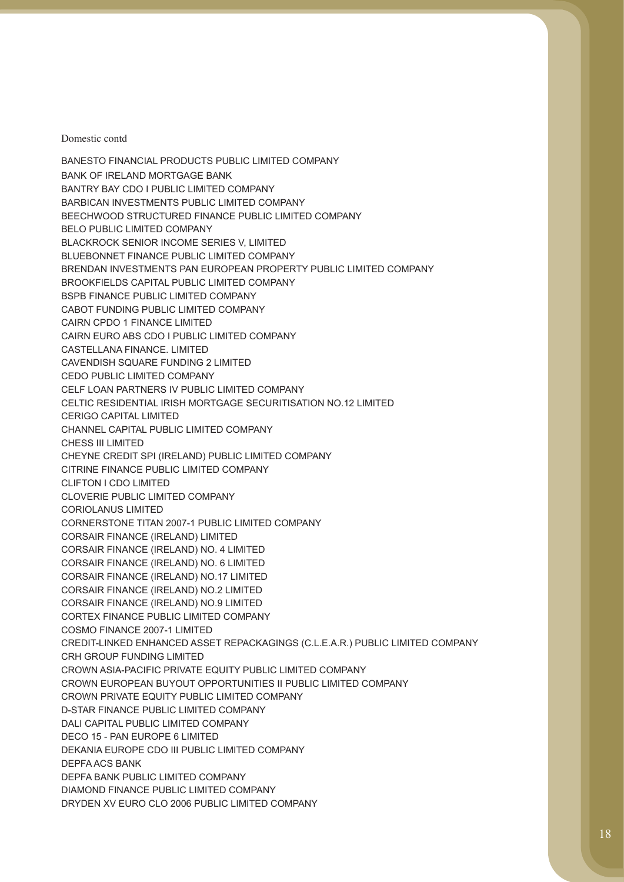BANESTO FINANCIAL PRODUCTS PUBLIC LIMITED COMPANY BANK OF IRELAND MORTGAGE BANK BANTRY BAY CDO I PUBLIC LIMITED COMPANY BARBICAN INVESTMENTS PUBLIC LIMITED COMPANY BEECHWOOD STRUCTURED FINANCE PUBLIC LIMITED COMPANY BELO PUBLIC LIMITED COMPANY BLACKROCK SENIOR INCOME SERIES V, LIMITED BLUEBONNET FINANCE PUBLIC LIMITED COMPANY BRENDAN INVESTMENTS PAN EUROPEAN PROPERTY PUBLIC LIMITED COMPANY BROOKFIELDS CAPITAL PUBLIC LIMITED COMPANY BSPB FINANCE PUBLIC LIMITED COMPANY CABOT FUNDING PUBLIC LIMITED COMPANY CAIRN CPDO 1 FINANCE LIMITED CAIRN EURO ABS CDO I PUBLIC LIMITED COMPANY CASTELLANA FINANCE. LIMITED CAVENDISH SQUARE FUNDING 2 LIMITED CEDO PUBLIC LIMITED COMPANY CELF LOAN PARTNERS IV PUBLIC LIMITED COMPANY CELTIC RESIDENTIAL IRISH MORTGAGE SECURITISATION NO.12 LIMITED CERIGO CAPITAL LIMITED CHANNEL CAPITAL PUBLIC LIMITED COMPANY CHESS III LIMITED CHEYNE CREDIT SPI (IRELAND) PUBLIC LIMITED COMPANY CITRINE FINANCE PUBLIC LIMITED COMPANY CLIFTON I CDO LIMITED CLOVERIE PUBLIC LIMITED COMPANY CORIOLANUS LIMITED CORNERSTONE TITAN 2007-1 PUBLIC LIMITED COMPANY CORSAIR FINANCE (IRELAND) LIMITED CORSAIR FINANCE (IRELAND) NO. 4 LIMITED CORSAIR FINANCE (IRELAND) NO. 6 LIMITED CORSAIR FINANCE (IRELAND) NO.17 LIMITED CORSAIR FINANCE (IRELAND) NO.2 LIMITED CORSAIR FINANCE (IRELAND) NO.9 LIMITED CORTEX FINANCE PUBLIC LIMITED COMPANY COSMO FINANCE 2007-1 LIMITED CREDIT-LINKED ENHANCED ASSET REPACKAGINGS (C.L.E.A.R.) PUBLIC LIMITED COMPANY CRH GROUP FUNDING LIMITED CROWN ASIA-PACIFIC PRIVATE EQUITY PUBLIC LIMITED COMPANY CROWN EUROPEAN BUYOUT OPPORTUNITIES II PUBLIC LIMITED COMPANY CROWN PRIVATE EQUITY PUBLIC LIMITED COMPANY D-STAR FINANCE PUBLIC LIMITED COMPANY DALI CAPITAL PUBLIC LIMITED COMPANY DECO 15 - PAN EUROPE 6 LIMITED DEKANIA EUROPE CDO III PUBLIC LIMITED COMPANY DEPFA ACS BANK DEPFA BANK PUBLIC LIMITED COMPANY DIAMOND FINANCE PUBLIC LIMITED COMPANY DRYDEN XV EURO CLO 2006 PUBLIC LIMITED COMPANY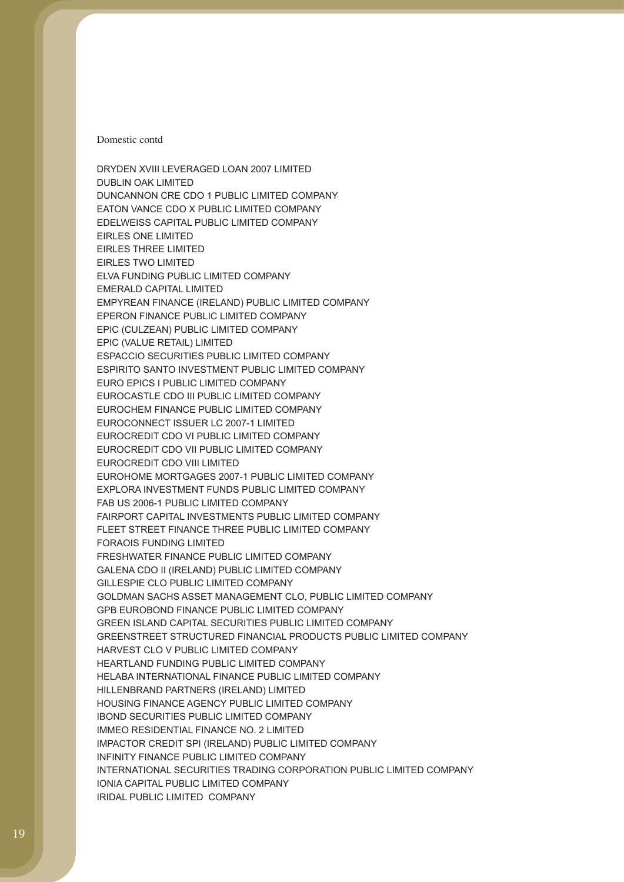DRYDEN XVIII LEVERAGED LOAN 2007 LIMITED

DUBLIN OAK LIMITED DUNCANNON CRE CDO 1 PUBLIC LIMITED COMPANY EATON VANCE CDO X PUBLIC LIMITED COMPANY EDELWEISS CAPITAL PUBLIC LIMITED COMPANY EIRLES ONE LIMITED EIRLES THREE LIMITED EIRLES TWO LIMITED ELVA FUNDING PUBLIC LIMITED COMPANY EMERALD CAPITAL LIMITED EMPYREAN FINANCE (IRELAND) PUBLIC LIMITED COMPANY EPERON FINANCE PUBLIC LIMITED COMPANY EPIC (CULZEAN) PUBLIC LIMITED COMPANY EPIC (VALUE RETAIL) LIMITED ESPACCIO SECURITIES PUBLIC LIMITED COMPANY ESPIRITO SANTO INVESTMENT PUBLIC LIMITED COMPANY EURO EPICS I PUBLIC LIMITED COMPANY EUROCASTLE CDO III PUBLIC LIMITED COMPANY EUROCHEM FINANCE PUBLIC LIMITED COMPANY EUROCONNECT ISSUER LC 2007-1 LIMITED EUROCREDIT CDO VI PUBLIC LIMITED COMPANY EUROCREDIT CDO VII PUBLIC LIMITED COMPANY EUROCREDIT CDO VIII LIMITED EUROHOME MORTGAGES 2007-1 PUBLIC LIMITED COMPANY EXPLORA INVESTMENT FUNDS PUBLIC LIMITED COMPANY FAB US 2006-1 PUBLIC LIMITED COMPANY FAIRPORT CAPITAL INVESTMENTS PUBLIC LIMITED COMPANY FLEET STREET FINANCE THREE PUBLIC LIMITED COMPANY FORAOIS FUNDING LIMITED FRESHWATER FINANCE PUBLIC LIMITED COMPANY GALENA CDO II (IRELAND) PUBLIC LIMITED COMPANY GILLESPIE CLO PUBLIC LIMITED COMPANY GOLDMAN SACHS ASSET MANAGEMENT CLO, PUBLIC LIMITED COMPANY GPB EUROBOND FINANCE PUBLIC LIMITED COMPANY GREEN ISLAND CAPITAL SECURITIES PUBLIC LIMITED COMPANY GREENSTREET STRUCTURED FINANCIAL PRODUCTS PUBLIC LIMITED COMPANY HARVEST CLO V PUBLIC LIMITED COMPANY HEARTLAND FUNDING PUBLIC LIMITED COMPANY HELABA INTERNATIONAL FINANCE PUBLIC LIMITED COMPANY HILLENBRAND PARTNERS (IRELAND) LIMITED HOUSING FINANCE AGENCY PUBLIC LIMITED COMPANY IBOND SECURITIES PUBLIC LIMITED COMPANY IMMEO RESIDENTIAL FINANCE NO. 2 LIMITED IMPACTOR CREDIT SPI (IRELAND) PUBLIC LIMITED COMPANY INFINITY FINANCE PUBLIC LIMITED COMPANY INTERNATIONAL SECURITIES TRADING CORPORATION PUBLIC LIMITED COMPANY IONIA CAPITAL PUBLIC LIMITED COMPANY IRIDAL PUBLIC LIMITED COMPANY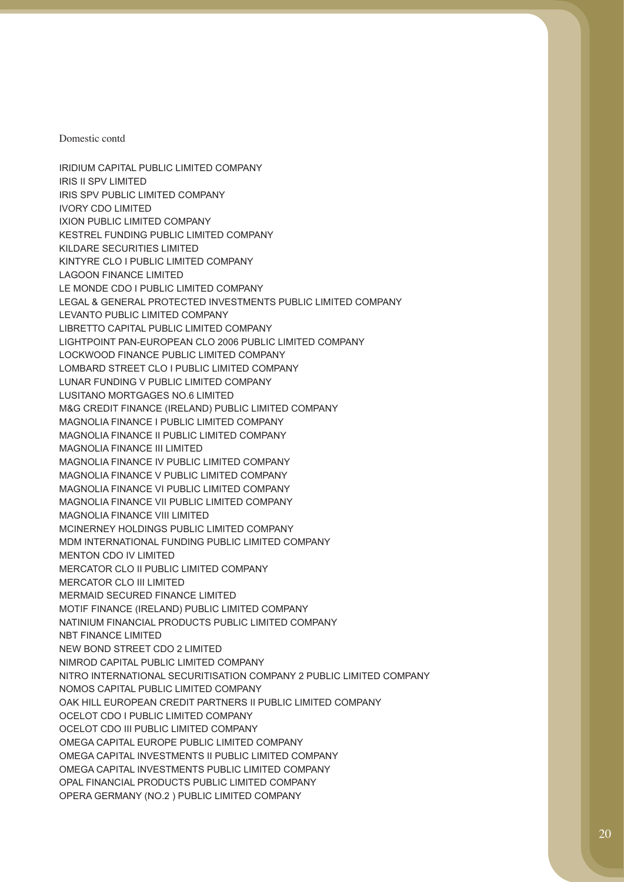IRIDIUM CAPITAL PUBLIC LIMITED COMPANY

IRIS II SPV LIMITED IRIS SPV PUBLIC LIMITED COMPANY IVORY CDO LIMITED IXION PUBLIC LIMITED COMPANY KESTREL FUNDING PUBLIC LIMITED COMPANY KILDARE SECURITIES LIMITED KINTYRE CLO I PUBLIC LIMITED COMPANY LAGOON FINANCE LIMITED LE MONDE CDO I PUBLIC LIMITED COMPANY LEGAL & GENERAL PROTECTED INVESTMENTS PUBLIC LIMITED COMPANY LEVANTO PUBLIC LIMITED COMPANY LIBRETTO CAPITAL PUBLIC LIMITED COMPANY LIGHTPOINT PAN-EUROPEAN CLO 2006 PUBLIC LIMITED COMPANY LOCKWOOD FINANCE PUBLIC LIMITED COMPANY LOMBARD STREET CLO I PUBLIC LIMITED COMPANY LUNAR FUNDING V PUBLIC LIMITED COMPANY LUSITANO MORTGAGES NO.6 LIMITED M&G CREDIT FINANCE (IRELAND) PUBLIC LIMITED COMPANY MAGNOLIA FINANCE I PUBLIC LIMITED COMPANY MAGNOLIA FINANCE II PUBLIC LIMITED COMPANY MAGNOLIA FINANCE III LIMITED MAGNOLIA FINANCE IV PUBLIC LIMITED COMPANY MAGNOLIA FINANCE V PUBLIC LIMITED COMPANY MAGNOLIA FINANCE VI PUBLIC LIMITED COMPANY MAGNOLIA FINANCE VII PUBLIC LIMITED COMPANY MAGNOLIA FINANCE VIII LIMITED MCINERNEY HOLDINGS PUBLIC LIMITED COMPANY MDM INTERNATIONAL FUNDING PUBLIC LIMITED COMPANY MENTON CDO IV LIMITED MERCATOR CLO II PUBLIC LIMITED COMPANY MERCATOR CLO III LIMITED MERMAID SECURED FINANCE LIMITED MOTIF FINANCE (IRELAND) PUBLIC LIMITED COMPANY NATINIUM FINANCIAL PRODUCTS PUBLIC LIMITED COMPANY NBT FINANCE LIMITED NEW BOND STREET CDO 2 LIMITED NIMROD CAPITAL PUBLIC LIMITED COMPANY NITRO INTERNATIONAL SECURITISATION COMPANY 2 PUBLIC LIMITED COMPANY NOMOS CAPITAL PUBLIC LIMITED COMPANY OAK HILL EUROPEAN CREDIT PARTNERS II PUBLIC LIMITED COMPANY OCELOT CDO I PUBLIC LIMITED COMPANY OCELOT CDO III PUBLIC LIMITED COMPANY OMEGA CAPITAL EUROPE PUBLIC LIMITED COMPANY OMEGA CAPITAL INVESTMENTS II PUBLIC LIMITED COMPANY OMEGA CAPITAL INVESTMENTS PUBLIC LIMITED COMPANY OPAL FINANCIAL PRODUCTS PUBLIC LIMITED COMPANY OPERA GERMANY (NO.2 ) PUBLIC LIMITED COMPANY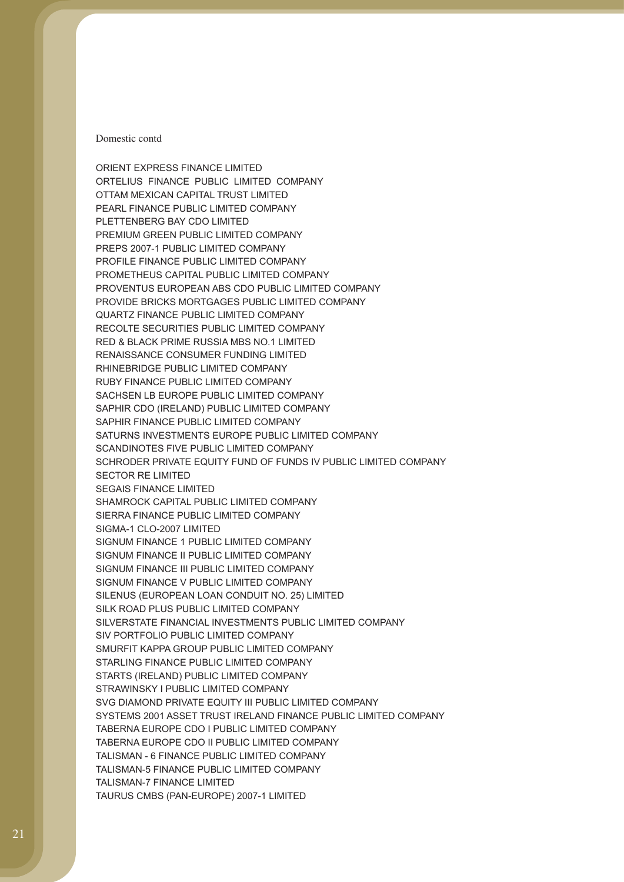ORIENT EXPRESS FINANCE LIMITED ORTELIUS FINANCE PUBLIC LIMITED COMPANY OTTAM MEXICAN CAPITAL TRUST LIMITED PEARL FINANCE PUBLIC LIMITED COMPANY PLETTENBERG BAY CDO LIMITED PREMIUM GREEN PUBLIC LIMITED COMPANY PREPS 2007-1 PUBLIC LIMITED COMPANY PROFILE FINANCE PUBLIC LIMITED COMPANY PROMETHEUS CAPITAL PUBLIC LIMITED COMPANY PROVENTUS EUROPEAN ABS CDO PUBLIC LIMITED COMPANY PROVIDE BRICKS MORTGAGES PUBLIC LIMITED COMPANY QUARTZ FINANCE PUBLIC LIMITED COMPANY RECOLTE SECURITIES PUBLIC LIMITED COMPANY RED & BLACK PRIME RUSSIA MBS NO.1 LIMITED RENAISSANCE CONSUMER FUNDING LIMITED RHINEBRIDGE PUBLIC LIMITED COMPANY RUBY FINANCE PUBLIC LIMITED COMPANY SACHSEN LB EUROPE PUBLIC LIMITED COMPANY SAPHIR CDO (IRELAND) PUBLIC LIMITED COMPANY SAPHIR FINANCE PUBLIC LIMITED COMPANY SATURNS INVESTMENTS EUROPE PUBLIC LIMITED COMPANY SCANDINOTES FIVE PUBLIC LIMITED COMPANY SCHRODER PRIVATE EQUITY FUND OF FUNDS IV PUBLIC LIMITED COMPANY SECTOR RE LIMITED SEGAIS FINANCE LIMITED SHAMROCK CAPITAL PUBLIC LIMITED COMPANY SIERRA FINANCE PUBLIC LIMITED COMPANY SIGMA-1 CLO-2007 LIMITED SIGNUM FINANCE 1 PUBLIC LIMITED COMPANY SIGNUM FINANCE II PUBLIC LIMITED COMPANY SIGNUM FINANCE III PUBLIC LIMITED COMPANY SIGNUM FINANCE V PUBLIC LIMITED COMPANY SILENUS (EUROPEAN LOAN CONDUIT NO. 25) LIMITED SILK ROAD PLUS PUBLIC LIMITED COMPANY SILVERSTATE FINANCIAL INVESTMENTS PUBLIC LIMITED COMPANY SIV PORTFOLIO PUBLIC LIMITED COMPANY SMURFIT KAPPA GROUP PUBLIC LIMITED COMPANY STARLING FINANCE PUBLIC LIMITED COMPANY STARTS (IRELAND) PUBLIC LIMITED COMPANY STRAWINSKY I PUBLIC LIMITED COMPANY SVG DIAMOND PRIVATE EQUITY III PUBLIC LIMITED COMPANY SYSTEMS 2001 ASSET TRUST IRELAND FINANCE PUBLIC LIMITED COMPANY TABERNA EUROPE CDO I PUBLIC LIMITED COMPANY TABERNA EUROPE CDO II PUBLIC LIMITED COMPANY TALISMAN - 6 FINANCE PUBLIC LIMITED COMPANY TALISMAN-5 FINANCE PUBLIC LIMITED COMPANY TALISMAN-7 FINANCE LIMITED TAURUS CMBS (PAN-EUROPE) 2007-1 LIMITED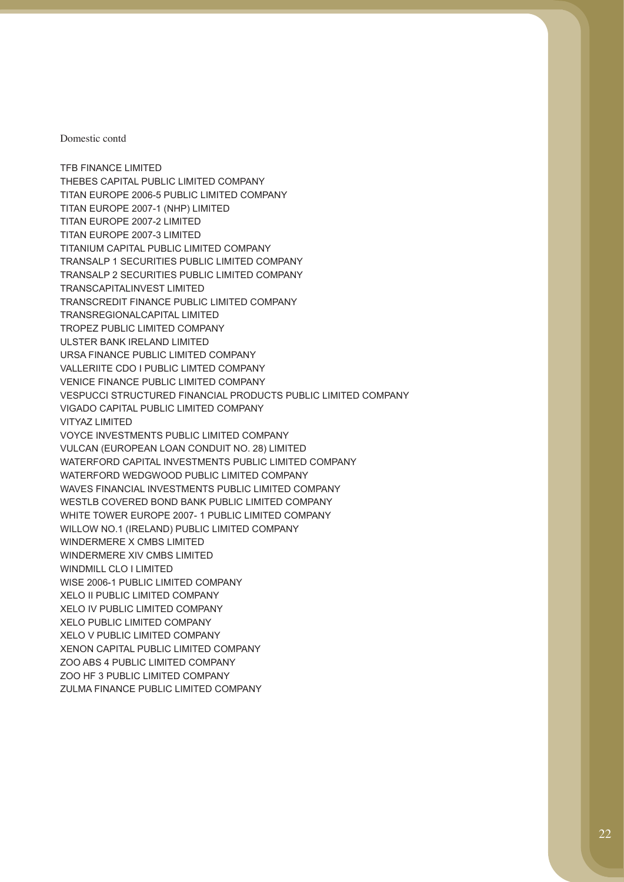TFB FINANCE LIMITED THEBES CAPITAL PUBLIC LIMITED COMPANY TITAN EUROPE 2006-5 PUBLIC LIMITED COMPANY TITAN EUROPE 2007-1 (NHP) LIMITED TITAN EUROPE 2007-2 LIMITED TITAN EUROPE 2007-3 LIMITED TITANIUM CAPITAL PUBLIC LIMITED COMPANY TRANSALP 1 SECURITIES PUBLIC LIMITED COMPANY TRANSALP 2 SECURITIES PUBLIC LIMITED COMPANY TRANSCAPITALINVEST LIMITED TRANSCREDIT FINANCE PUBLIC LIMITED COMPANY TRANSREGIONALCAPITAL LIMITED TROPEZ PUBLIC LIMITED COMPANY ULSTER BANK IRELAND LIMITED URSA FINANCE PUBLIC LIMITED COMPANY VALLERIITE CDO I PUBLIC LIMTED COMPANY VENICE FINANCE PUBLIC LIMITED COMPANY VESPUCCI STRUCTURED FINANCIAL PRODUCTS PUBLIC LIMITED COMPANY VIGADO CAPITAL PUBLIC LIMITED COMPANY VITYAZ LIMITED VOYCE INVESTMENTS PUBLIC LIMITED COMPANY VULCAN (EUROPEAN LOAN CONDUIT NO. 28) LIMITED WATERFORD CAPITAL INVESTMENTS PUBLIC LIMITED COMPANY WATERFORD WEDGWOOD PUBLIC LIMITED COMPANY WAVES FINANCIAL INVESTMENTS PUBLIC LIMITED COMPANY WESTLB COVERED BOND BANK PUBLIC LIMITED COMPANY WHITE TOWER EUROPE 2007- 1 PUBLIC LIMITED COMPANY WILLOW NO.1 (IRELAND) PUBLIC LIMITED COMPANY WINDERMERE X CMBS LIMITED WINDERMERE XIV CMBS LIMITED WINDMILL CLO I LIMITED WISE 2006-1 PUBLIC LIMITED COMPANY XELO II PUBLIC LIMITED COMPANY XELO IV PUBLIC LIMITED COMPANY XELO PUBLIC LIMITED COMPANY XELO V PUBLIC LIMITED COMPANY XENON CAPITAL PUBLIC LIMITED COMPANY ZOO ABS 4 PUBLIC LIMITED COMPANY ZOO HF 3 PUBLIC LIMITED COMPANY ZULMA FINANCE PUBLIC LIMITED COMPANY

Domestic contd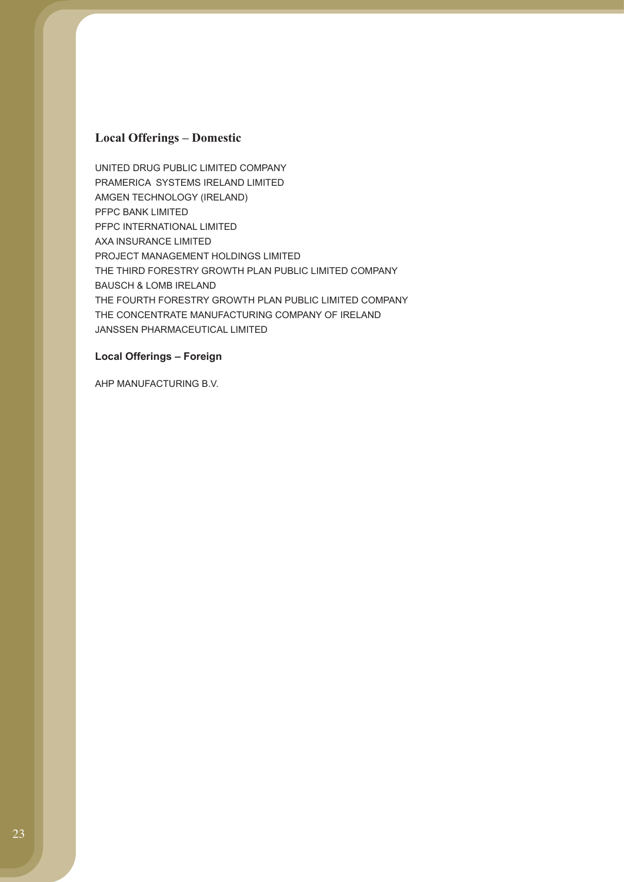### **Local Offerings – Domestic**

UNITED DRUG PUBLIC LIMITED COMPANY PRAMERICA SYSTEMS IRELAND LIMITED AMGEN TECHNOLOGY (IRELAND) PFPC BANK LIMITED PFPC INTERNATIONAL LIMITED AXA INSURANCE LIMITED PROJECT MANAGEMENT HOLDINGS LIMITED THE THIRD FORESTRY GROWTH PLAN PUBLIC LIMITED COMPANY BAUSCH & LOMB IRELAND THE FOURTH FORESTRY GROWTH PLAN PUBLIC LIMITED COMPANY THE CONCENTRATE MANUFACTURING COMPANY OF IRELAND JANSSEN PHARMACEUTICAL LIMITED

#### **Local Offerings – Foreign**

AHP MANUFACTURING B.V.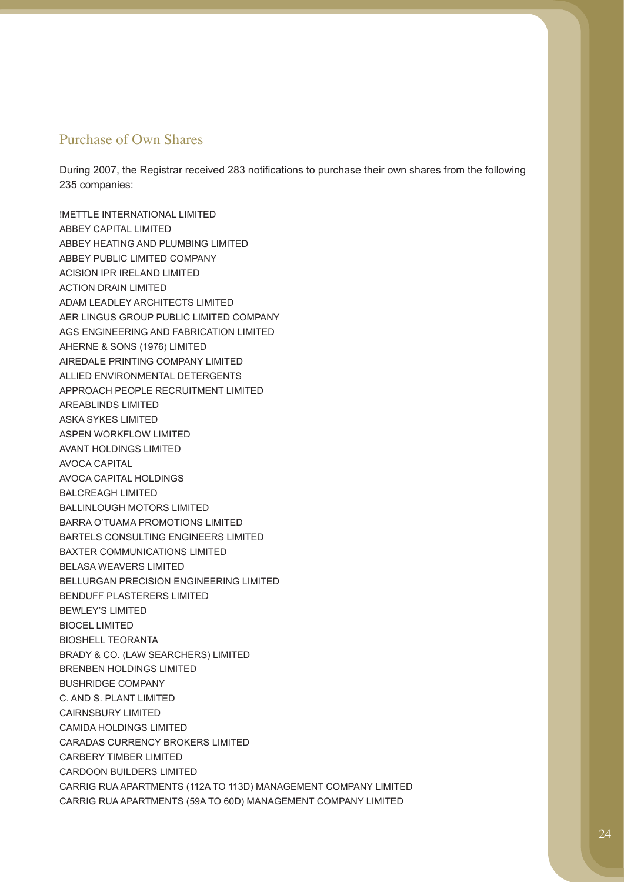### Purchase of Own Shares

During 2007, the Registrar received 283 notifications to purchase their own shares from the following 235 companies:

!METTLE INTERNATIONAL LIMITED ABBEY CAPITAL LIMITED ABBEY HEATING AND PLUMBING LIMITED ABBEY PUBLIC LIMITED COMPANY ACISION IPR IRELAND LIMITED ACTION DRAIN LIMITED ADAM LEADLEY ARCHITECTS LIMITED AER LINGUS GROUP PUBLIC LIMITED COMPANY AGS ENGINEERING AND FABRICATION LIMITED AHERNE & SONS (1976) LIMITED AIREDALE PRINTING COMPANY LIMITED ALLIED ENVIRONMENTAL DETERGENTS APPROACH PEOPLE RECRUITMENT LIMITED AREABLINDS LIMITED ASKA SYKES LIMITED ASPEN WORKFLOW LIMITED AVANT HOLDINGS LIMITED AVOCA CAPITAL AVOCA CAPITAL HOLDINGS BALCREAGH LIMITED BALLINLOUGH MOTORS LIMITED BARRA O'TUAMA PROMOTIONS LIMITED BARTELS CONSULTING ENGINEERS LIMITED BAXTER COMMUNICATIONS LIMITED BELASA WEAVERS LIMITED BELLURGAN PRECISION ENGINEERING LIMITED BENDUFF PLASTERERS LIMITED BEWLEY'S LIMITED BIOCEL LIMITED BIOSHELL TEORANTA BRADY & CO. (LAW SEARCHERS) LIMITED BRENBEN HOLDINGS LIMITED BUSHRIDGE COMPANY C. AND S. PLANT LIMITED CAIRNSBURY LIMITED CAMIDA HOLDINGS LIMITED CARADAS CURRENCY BROKERS LIMITED CARBERY TIMBER LIMITED CARDOON BUILDERS LIMITED CARRIG RUA APARTMENTS (112A TO 113D) MANAGEMENT COMPANY LIMITED CARRIG RUA APARTMENTS (59A TO 60D) MANAGEMENT COMPANY LIMITED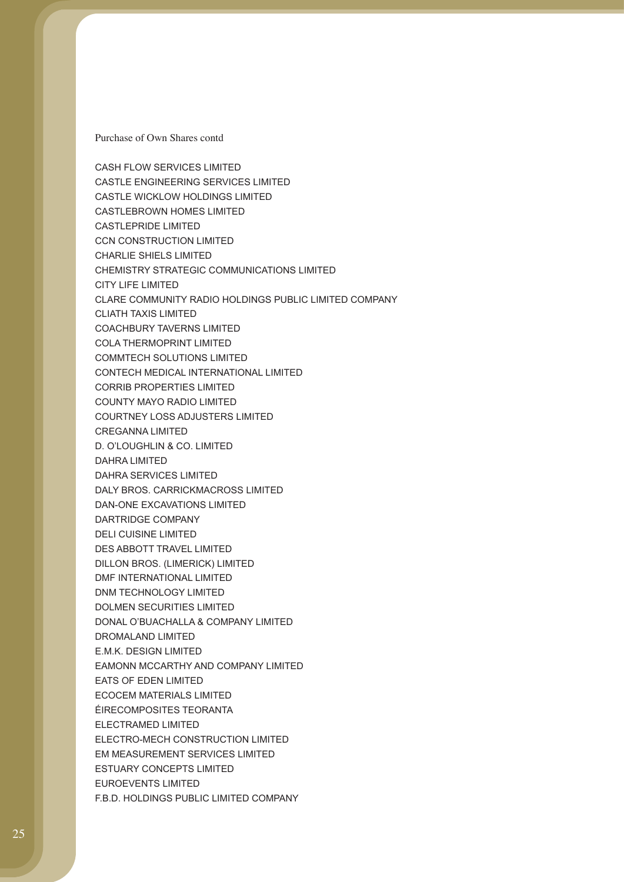CASH FLOW SERVICES LIMITED CASTLE ENGINEERING SERVICES LIMITED CASTLE WICKLOW HOLDINGS LIMITED CASTLEBROWN HOMES LIMITED CASTLEPRIDE LIMITED CCN CONSTRUCTION LIMITED CHARLIE SHIELS LIMITED CHEMISTRY STRATEGIC COMMUNICATIONS LIMITED CITY LIFE LIMITED CLARE COMMUNITY RADIO HOLDINGS PUBLIC LIMITED COMPANY CLIATH TAXIS LIMITED COACHBURY TAVERNS LIMITED COLA THERMOPRINT LIMITED COMMTECH SOLUTIONS LIMITED CONTECH MEDICAL INTERNATIONAL LIMITED CORRIB PROPERTIES LIMITED COUNTY MAYO RADIO LIMITED COURTNEY LOSS ADJUSTERS LIMITED CREGANNA LIMITED D. O'LOUGHLIN & CO. LIMITED DAHRA LIMITED DAHRA SERVICES LIMITED DALY BROS. CARRICKMACROSS LIMITED DAN-ONE EXCAVATIONS LIMITED DARTRIDGE COMPANY DELI CUISINE LIMITED DES ABBOTT TRAVEL LIMITED DILLON BROS. (LIMERICK) LIMITED DMF INTERNATIONAL LIMITED DNM TECHNOLOGY LIMITED DOLMEN SECURITIES LIMITED DONAL O'BUACHALLA & COMPANY LIMITED DROMALAND LIMITED E.M.K. DESIGN LIMITED EAMONN MCCARTHY AND COMPANY LIMITED EATS OF EDEN LIMITED ECOCEM MATERIALS LIMITED ÉIRECOMPOSITES TEORANTA ELECTRAMED LIMITED ELECTRO-MECH CONSTRUCTION LIMITED EM MEASUREMENT SERVICES LIMITED ESTUARY CONCEPTS LIMITED EUROEVENTS LIMITED F.B.D. HOLDINGS PUBLIC LIMITED COMPANY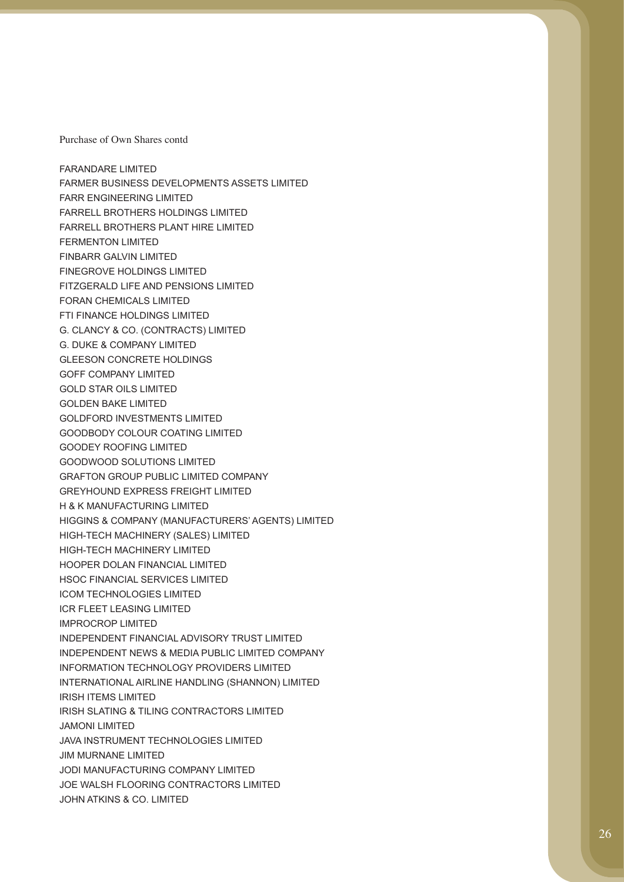FARANDARE LIMITED FARMER BUSINESS DEVELOPMENTS ASSETS LIMITED FARR ENGINEERING LIMITED FARRELL BROTHERS HOLDINGS LIMITED FARRELL BROTHERS PLANT HIRE LIMITED FERMENTON LIMITED FINBARR GALVIN LIMITED FINEGROVE HOLDINGS LIMITED FITZGERALD LIFE AND PENSIONS LIMITED FORAN CHEMICALS LIMITED FTI FINANCE HOLDINGS LIMITED G. CLANCY & CO. (CONTRACTS) LIMITED G. DUKE & COMPANY LIMITED GLEESON CONCRETE HOLDINGS GOFF COMPANY LIMITED GOLD STAR OILS LIMITED GOLDEN BAKE LIMITED GOLDFORD INVESTMENTS LIMITED GOODBODY COLOUR COATING LIMITED GOODEY ROOFING LIMITED GOODWOOD SOLUTIONS LIMITED GRAFTON GROUP PUBLIC LIMITED COMPANY GREYHOUND EXPRESS FREIGHT LIMITED H & K MANUFACTURING LIMITED HIGGINS & COMPANY (MANUFACTURERS' AGENTS) LIMITED HIGH-TECH MACHINERY (SALES) LIMITED HIGH-TECH MACHINERY LIMITED HOOPER DOLAN FINANCIAL LIMITED HSOC FINANCIAL SERVICES LIMITED ICOM TECHNOLOGIES LIMITED ICR FLEET LEASING LIMITED IMPROCROP LIMITED INDEPENDENT FINANCIAL ADVISORY TRUST LIMITED INDEPENDENT NEWS & MEDIA PUBLIC LIMITED COMPANY INFORMATION TECHNOLOGY PROVIDERS LIMITED INTERNATIONAL AIRLINE HANDLING (SHANNON) LIMITED IRISH ITEMS LIMITED IRISH SLATING & TILING CONTRACTORS LIMITED JAMONI LIMITED JAVA INSTRUMENT TECHNOLOGIES LIMITED JIM MURNANE LIMITED JODI MANUFACTURING COMPANY LIMITED JOE WALSH FLOORING CONTRACTORS LIMITED JOHN ATKINS & CO. LIMITED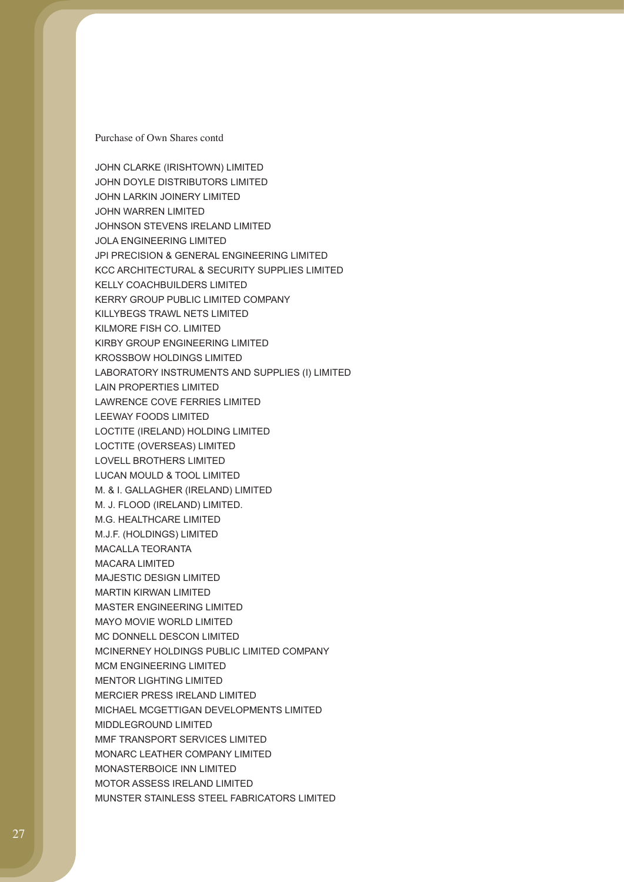JOHN CLARKE (IRISHTOWN) LIMITED

JOHN DOYLE DISTRIBUTORS LIMITED JOHN LARKIN JOINERY LIMITED JOHN WARREN LIMITED JOHNSON STEVENS IRELAND LIMITED JOLA ENGINEERING LIMITED JPI PRECISION & GENERAL ENGINEERING LIMITED KCC ARCHITECTURAL & SECURITY SUPPLIES LIMITED KELLY COACHBUILDERS LIMITED KERRY GROUP PUBLIC LIMITED COMPANY KILLYBEGS TRAWL NETS LIMITED KILMORE FISH CO. LIMITED KIRBY GROUP ENGINEERING LIMITED KROSSBOW HOLDINGS LIMITED LABORATORY INSTRUMENTS AND SUPPLIES (I) LIMITED LAIN PROPERTIES LIMITED LAWRENCE COVE FERRIES LIMITED LEEWAY FOODS LIMITED LOCTITE (IRELAND) HOLDING LIMITED LOCTITE (OVERSEAS) LIMITED LOVELL BROTHERS LIMITED LUCAN MOULD & TOOL LIMITED M. & I. GALLAGHER (IRELAND) LIMITED M. J. FLOOD (IRELAND) LIMITED. M.G. HEALTHCARE LIMITED M.J.F. (HOLDINGS) LIMITED MACALLA TEORANTA MACARA LIMITED MAJESTIC DESIGN LIMITED MARTIN KIRWAN LIMITED MASTER ENGINEERING LIMITED MAYO MOVIE WORLD LIMITED MC DONNELL DESCON LIMITED MCINERNEY HOLDINGS PUBLIC LIMITED COMPANY MCM ENGINEERING LIMITED MENTOR LIGHTING LIMITED MERCIER PRESS IRELAND LIMITED MICHAEL MCGETTIGAN DEVELOPMENTS LIMITED MIDDLEGROUND LIMITED MMF TRANSPORT SERVICES LIMITED MONARC LEATHER COMPANY LIMITED MONASTERBOICE INN LIMITED MOTOR ASSESS IRELAND LIMITED MUNSTER STAINLESS STEEL FABRICATORS LIMITED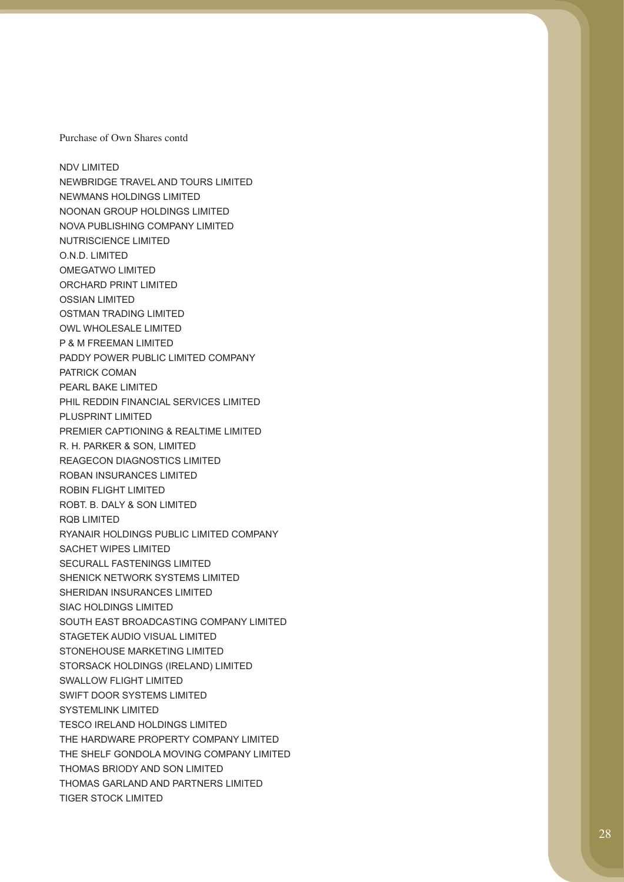NDV LIMITED NEWBRIDGE TRAVEL AND TOURS LIMITED NEWMANS HOLDINGS LIMITED NOONAN GROUP HOLDINGS LIMITED NOVA PUBLISHING COMPANY LIMITED NUTRISCIENCE LIMITED O.N.D. LIMITED OMEGATWO LIMITED ORCHARD PRINT LIMITED OSSIAN LIMITED OSTMAN TRADING LIMITED OWL WHOLESALE LIMITED P & M FREEMAN LIMITED PADDY POWER PUBLIC LIMITED COMPANY PATRICK COMAN PEARL BAKE LIMITED PHIL REDDIN FINANCIAL SERVICES LIMITED PLUSPRINT LIMITED PREMIER CAPTIONING & REALTIME LIMITED R. H. PARKER & SON, LIMITED REAGECON DIAGNOSTICS LIMITED ROBAN INSURANCES LIMITED ROBIN FLIGHT LIMITED ROBT. B. DALY & SON LIMITED RQB LIMITED RYANAIR HOLDINGS PUBLIC LIMITED COMPANY SACHET WIPES LIMITED SECURALL FASTENINGS LIMITED SHENICK NETWORK SYSTEMS LIMITED SHERIDAN INSURANCES LIMITED SIAC HOLDINGS LIMITED SOUTH EAST BROADCASTING COMPANY LIMITED STAGETEK AUDIO VISUAL LIMITED STONEHOUSE MARKETING LIMITED STORSACK HOLDINGS (IRELAND) LIMITED SWALLOW FLIGHT LIMITED SWIFT DOOR SYSTEMS LIMITED SYSTEMLINK LIMITED TESCO IRELAND HOLDINGS LIMITED THE HARDWARE PROPERTY COMPANY LIMITED THE SHELF GONDOLA MOVING COMPANY LIMITED THOMAS BRIODY AND SON LIMITED THOMAS GARLAND AND PARTNERS LIMITED TIGER STOCK LIMITED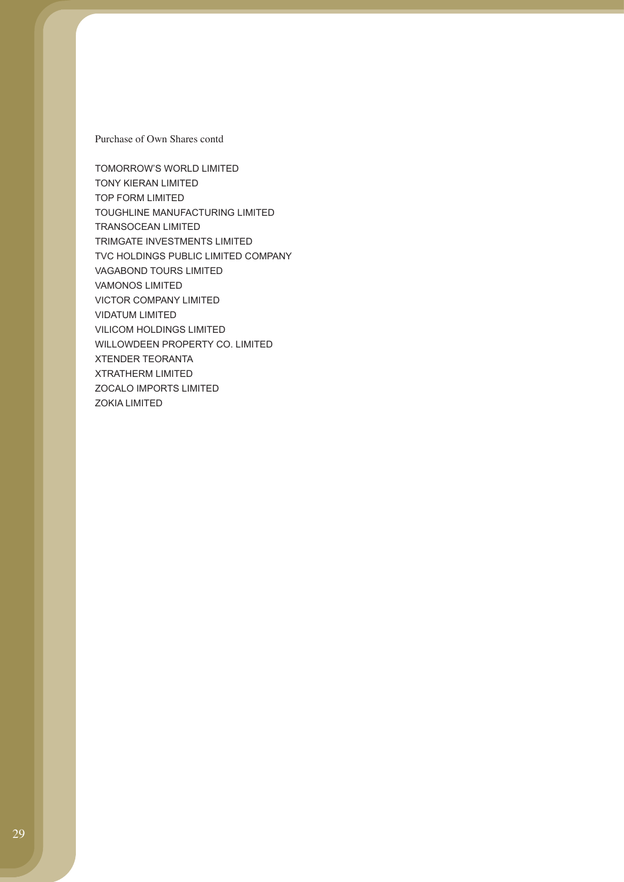TOMORROW'S WORLD LIMITED TONY KIERAN LIMITED TOP FORM LIMITED TOUGHLINE MANUFACTURING LIMITED TRANSOCEAN LIMITED TRIMGATE INVESTMENTS LIMITED TVC HOLDINGS PUBLIC LIMITED COMPANY VAGABOND TOURS LIMITED VAMONOS LIMITED VICTOR COMPANY LIMITED VIDATUM LIMITED VILICOM HOLDINGS LIMITED WILLOWDEEN PROPERTY CO. LIMITED XTENDER TEORANTA XTRATHERM LIMITED ZOCALO IMPORTS LIMITED ZOKIA LIMITED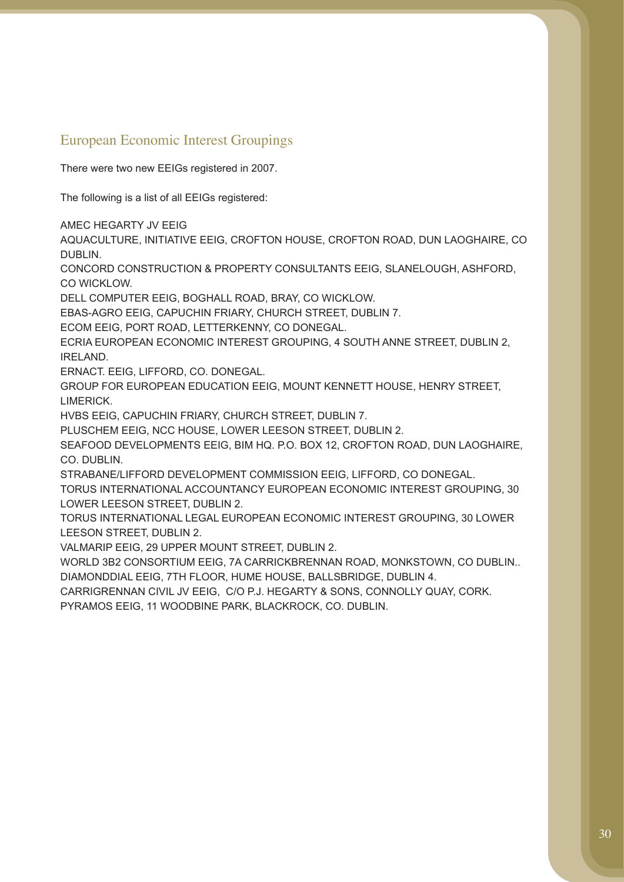# European Economic Interest Groupings

There were two new EEIGs registered in 2007.

The following is a list of all EEIGs registered:

AMEC HEGARTY JV EEIG

AQUACULTURE, INITIATIVE EEIG, CROFTON HOUSE, CROFTON ROAD, DUN LAOGHAIRE, CO DUBLIN.

CONCORD CONSTRUCTION & PROPERTY CONSULTANTS EEIG, SLANELOUGH, ASHFORD, CO WICKLOW.

DELL COMPUTER EEIG, BOGHALL ROAD, BRAY, CO WICKLOW.

EBAS-AGRO EEIG, CAPUCHIN FRIARY, CHURCH STREET, DUBLIN 7.

ECOM EEIG, PORT ROAD, LETTERKENNY, CO DONEGAL.

ECRIA EUROPEAN ECONOMIC INTEREST GROUPING, 4 SOUTH ANNE STREET, DUBLIN 2, IRELAND.

ERNACT. EEIG, LIFFORD, CO. DONEGAL.

GROUP FOR EUROPEAN EDUCATION EEIG, MOUNT KENNETT HOUSE, HENRY STREET, LIMERICK.

HVBS EEIG, CAPUCHIN FRIARY, CHURCH STREET, DUBLIN 7.

PLUSCHEM EEIG, NCC HOUSE, LOWER LEESON STREET, DUBLIN 2.

SEAFOOD DEVELOPMENTS EEIG, BIM HQ. P.O. BOX 12, CROFTON ROAD, DUN LAOGHAIRE, CO. DUBLIN.

STRABANE/LIFFORD DEVELOPMENT COMMISSION EEIG, LIFFORD, CO DONEGAL.

TORUS INTERNATIONAL ACCOUNTANCY EUROPEAN ECONOMIC INTEREST GROUPING, 30 LOWER LEESON STREET, DUBLIN 2.

TORUS INTERNATIONAL LEGAL EUROPEAN ECONOMIC INTEREST GROUPING, 30 LOWER LEESON STREET, DUBLIN 2.

VALMARIP EEIG, 29 UPPER MOUNT STREET, DUBLIN 2.

WORLD 3B2 CONSORTIUM EEIG, 7A CARRICKBRENNAN ROAD, MONKSTOWN, CO DUBLIN.. DIAMONDDIAL EEIG, 7TH FLOOR, HUME HOUSE, BALLSBRIDGE, DUBLIN 4.

CARRIGRENNAN CIVIL JV EEIG, C/O P.J. HEGARTY & SONS, CONNOLLY QUAY, CORK.

PYRAMOS EEIG, 11 WOODBINE PARK, BLACKROCK, CO. DUBLIN.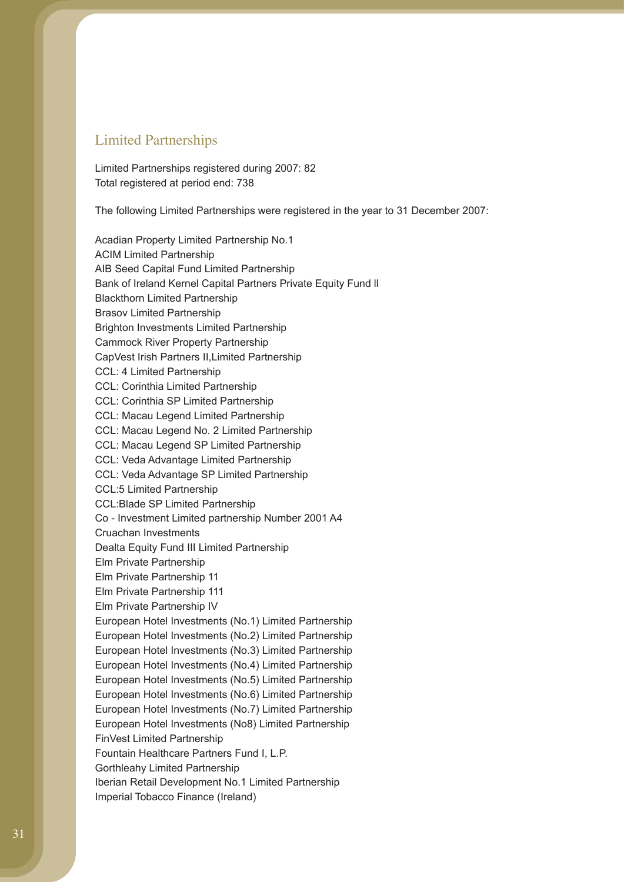### Limited Partnerships

Limited Partnerships registered during 2007: 82 Total registered at period end: 738

The following Limited Partnerships were registered in the year to 31 December 2007:

Acadian Property Limited Partnership No.1 ACIM Limited Partnership AIB Seed Capital Fund Limited Partnership Bank of Ireland Kernel Capital Partners Private Equity Fund ll Blackthorn Limited Partnership Brasov Limited Partnership Brighton Investments Limited Partnership Cammock River Property Partnership CapVest Irish Partners II,Limited Partnership CCL: 4 Limited Partnership CCL: Corinthia Limited Partnership CCL: Corinthia SP Limited Partnership CCL: Macau Legend Limited Partnership CCL: Macau Legend No. 2 Limited Partnership CCL: Macau Legend SP Limited Partnership CCL: Veda Advantage Limited Partnership CCL: Veda Advantage SP Limited Partnership CCL:5 Limited Partnership CCL:Blade SP Limited Partnership Co - Investment Limited partnership Number 2001 A4 Cruachan Investments Dealta Equity Fund III Limited Partnership Elm Private Partnership Elm Private Partnership 11 Elm Private Partnership 111 Elm Private Partnership IV European Hotel Investments (No.1) Limited Partnership European Hotel Investments (No.2) Limited Partnership European Hotel Investments (No.3) Limited Partnership European Hotel Investments (No.4) Limited Partnership European Hotel Investments (No.5) Limited Partnership European Hotel Investments (No.6) Limited Partnership European Hotel Investments (No.7) Limited Partnership European Hotel Investments (No8) Limited Partnership FinVest Limited Partnership Fountain Healthcare Partners Fund I, L.P. Gorthleahy Limited Partnership Iberian Retail Development No.1 Limited Partnership Imperial Tobacco Finance (Ireland)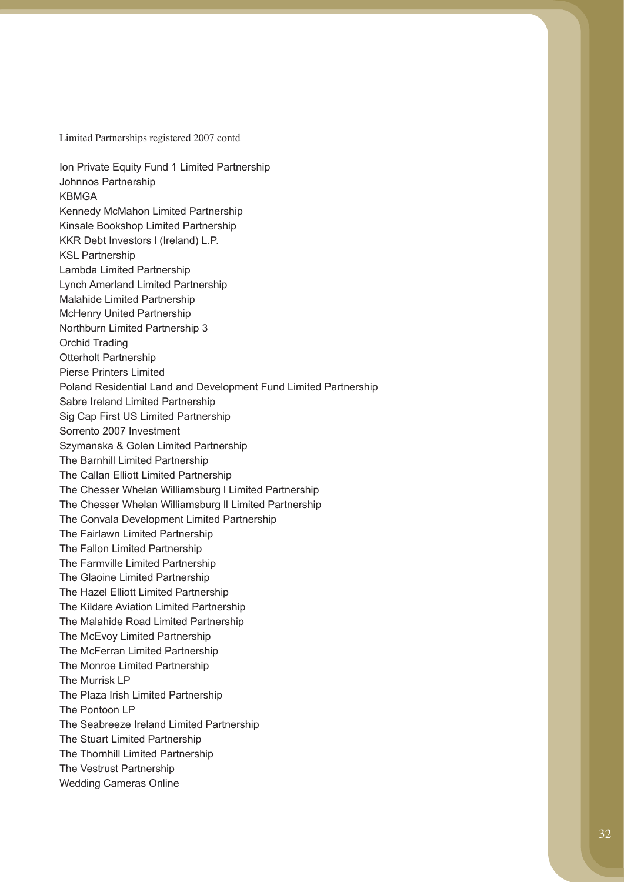Limited Partnerships registered 2007 contd

Ion Private Equity Fund 1 Limited Partnership Johnnos Partnership KBMGA Kennedy McMahon Limited Partnership Kinsale Bookshop Limited Partnership KKR Debt Investors l (Ireland) L.P. KSL Partnership Lambda Limited Partnership Lynch Amerland Limited Partnership Malahide Limited Partnership McHenry United Partnership Northburn Limited Partnership 3 Orchid Trading Otterholt Partnership Pierse Printers Limited Poland Residential Land and Development Fund Limited Partnership Sabre Ireland Limited Partnership Sig Cap First US Limited Partnership Sorrento 2007 Investment Szymanska & Golen Limited Partnership The Barnhill Limited Partnership The Callan Elliott Limited Partnership The Chesser Whelan Williamsburg l Limited Partnership The Chesser Whelan Williamsburg ll Limited Partnership The Convala Development Limited Partnership The Fairlawn Limited Partnership The Fallon Limited Partnership The Farmville Limited Partnership The Glaoine Limited Partnership The Hazel Elliott Limited Partnership The Kildare Aviation Limited Partnership The Malahide Road Limited Partnership The McEvoy Limited Partnership The McFerran Limited Partnership The Monroe Limited Partnership The Murrisk LP The Plaza Irish Limited Partnership The Pontoon LP The Seabreeze Ireland Limited Partnership The Stuart Limited Partnership The Thornhill Limited Partnership The Vestrust Partnership Wedding Cameras Online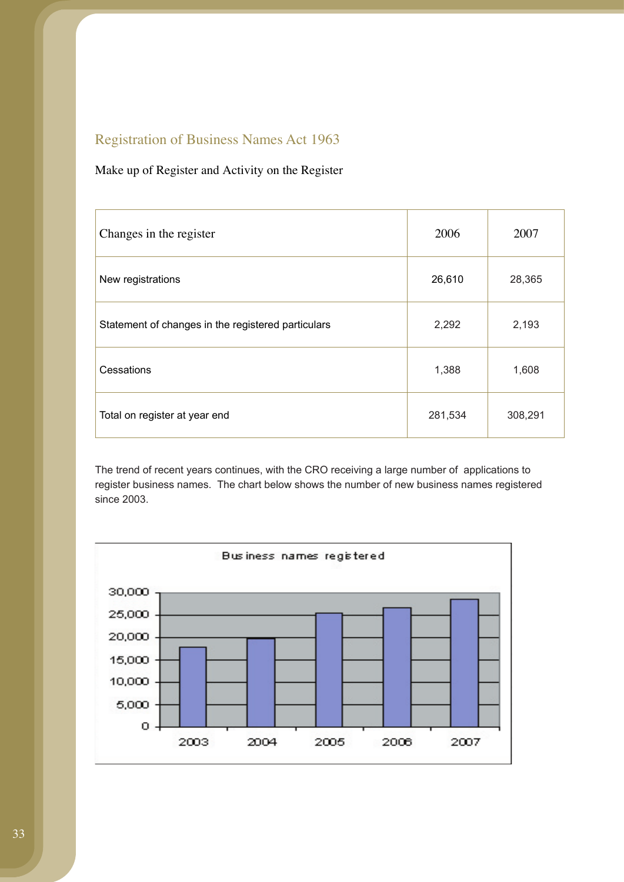# Registration of Business Names Act 1963

## Make up of Register and Activity on the Register

| Changes in the register                            | 2006    | 2007    |
|----------------------------------------------------|---------|---------|
| New registrations                                  | 26,610  | 28,365  |
| Statement of changes in the registered particulars | 2,292   | 2,193   |
| Cessations                                         | 1,388   | 1,608   |
| Total on register at year end                      | 281,534 | 308,291 |

The trend of recent years continues, with the CRO receiving a large number of applications to register business names. The chart below shows the number of new business names registered since 2003.

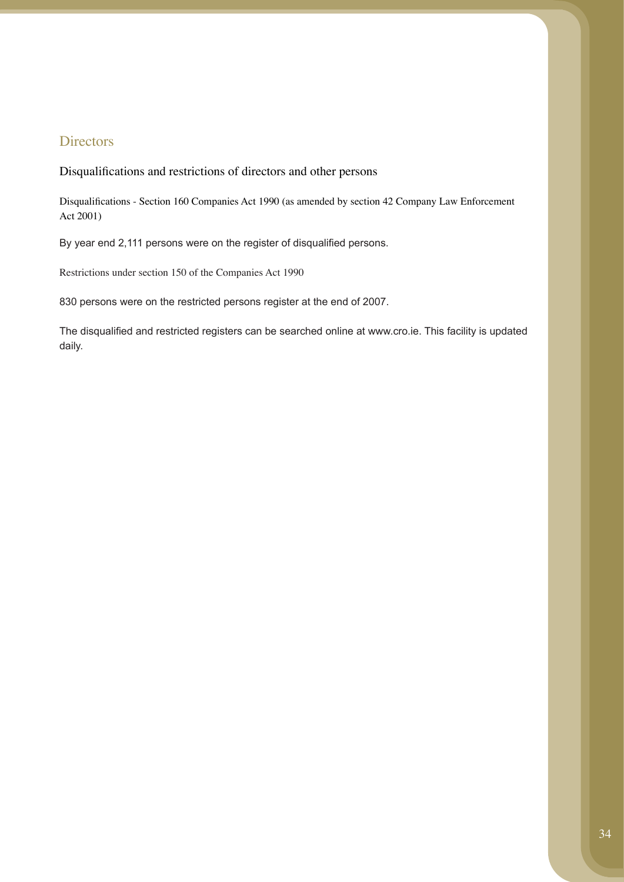## **Directors**

Disqualifications and restrictions of directors and other persons

Disqualifications - Section 160 Companies Act 1990 (as amended by section 42 Company Law Enforcement Act 2001)

By year end 2,111 persons were on the register of disqualified persons.

Restrictions under section 150 of the Companies Act 1990

830 persons were on the restricted persons register at the end of 2007.

The disqualified and restricted registers can be searched online at www.cro.ie. This facility is updated daily.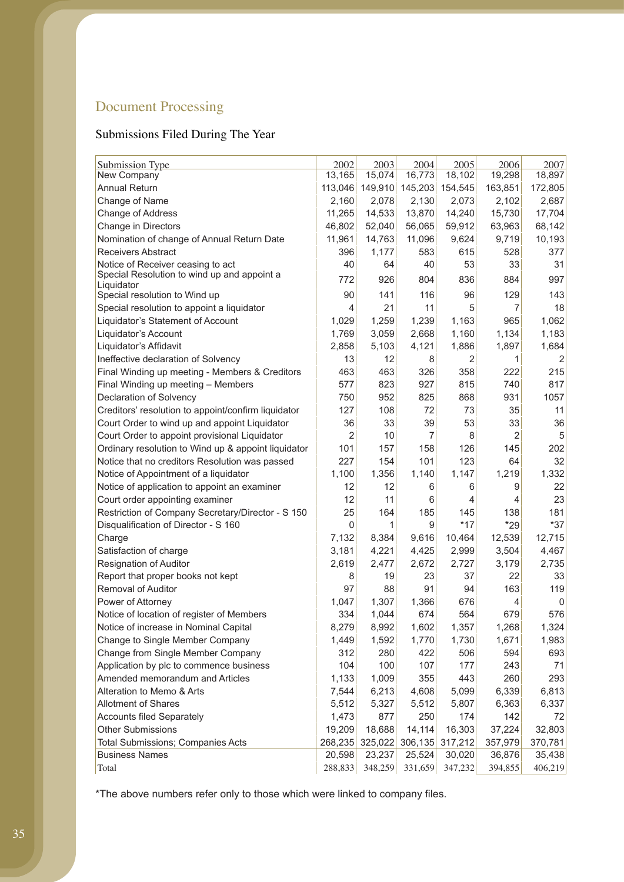# Document Processing

# Submissions Filed During The Year

| <b>Submission Type</b>                              | 2002           | 2003           | 2004    | 2005    | 2006    | 2007    |
|-----------------------------------------------------|----------------|----------------|---------|---------|---------|---------|
| New Company                                         | 13,165         | 15,074         | 16,773  | 18,102  | 19,298  | 18,897  |
| <b>Annual Return</b>                                | 113,046        | 149,910        | 145,203 | 154,545 | 163,851 | 172,805 |
| Change of Name                                      | 2,160          | 2,078          | 2,130   | 2,073   | 2,102   | 2,687   |
| Change of Address                                   | 11,265         | 14,533         | 13,870  | 14,240  | 15,730  | 17,704  |
| Change in Directors                                 | 46,802         | 52,040         | 56,065  | 59,912  | 63,963  | 68,142  |
| Nomination of change of Annual Return Date          | 11,961         | 14,763         | 11,096  | 9,624   | 9,719   | 10,193  |
| Receivers Abstract                                  | 396            | 1,177          | 583     | 615     | 528     | 377     |
| Notice of Receiver ceasing to act                   | 40             | 64             | 40      | 53      | 33      | 31      |
| Special Resolution to wind up and appoint a         | 772            | 926            | 804     | 836     | 884     | 997     |
| Liquidator<br>Special resolution to Wind up         | 90             | 141            | 116     | 96      | 129     | 143     |
| Special resolution to appoint a liquidator          | 4              | 21             | 11      | 5       | 7       | 18      |
|                                                     | 1,029          |                | 1,239   | 1,163   | 965     | 1,062   |
| Liquidator's Statement of Account                   | 1,769          | 1,259<br>3,059 |         |         |         | 1,183   |
| Liquidator's Account                                |                |                | 2,668   | 1,160   | 1,134   |         |
| Liquidator's Affidavit                              | 2,858          | 5,103          | 4,121   | 1,886   | 1,897   | 1,684   |
| Ineffective declaration of Solvency                 | 13             | 12             | 8       | 2       | 1       | 2       |
| Final Winding up meeting - Members & Creditors      | 463            | 463            | 326     | 358     | 222     | 215     |
| Final Winding up meeting - Members                  | 577            | 823            | 927     | 815     | 740     | 817     |
| Declaration of Solvency                             | 750            | 952            | 825     | 868     | 931     | 1057    |
| Creditors' resolution to appoint/confirm liquidator | 127            | 108            | 72      | 73      | 35      | 11      |
| Court Order to wind up and appoint Liquidator       | 36             | 33             | 39      | 53      | 33      | 36      |
| Court Order to appoint provisional Liquidator       | $\overline{2}$ | 10             | 7       | 8       | 2       | 5       |
| Ordinary resolution to Wind up & appoint liquidator | 101            | 157            | 158     | 126     | 145     | 202     |
| Notice that no creditors Resolution was passed      | 227            | 154            | 101     | 123     | 64      | 32      |
| Notice of Appointment of a liquidator               | 1,100          | 1,356          | 1,140   | 1,147   | 1,219   | 1,332   |
| Notice of application to appoint an examiner        | 12             | 12             | 6       | 6       | 9       | 22      |
| Court order appointing examiner                     | 12             | 11             | 6       | 4       | 4       | 23      |
| Restriction of Company Secretary/Director - S 150   | 25             | 164            | 185     | 145     | 138     | 181     |
| Disqualification of Director - S 160                | 0              | 1              | 9       | $*17$   | $*29$   | $*37$   |
| Charge                                              | 7,132          | 8,384          | 9,616   | 10,464  | 12,539  | 12,715  |
| Satisfaction of charge                              | 3,181          | 4,221          | 4,425   | 2,999   | 3,504   | 4,467   |
| <b>Resignation of Auditor</b>                       | 2,619          | 2,477          | 2,672   | 2,727   | 3,179   | 2,735   |
| Report that proper books not kept                   | 8              | 19             | 23      | 37      | 22      | 33      |
| <b>Removal of Auditor</b>                           | 97             | 88             | 91      | 94      | 163     | 119     |
| Power of Attorney                                   | 1,047          | 1,307          | 1,366   | 676     | 4       | 0       |
| Notice of location of register of Members           | 334            | 1,044          | 674     | 564     | 679     | 576     |
| Notice of increase in Nominal Capital               | 8,279          | 8,992          | 1,602   | 1,357   | 1,268   | 1,324   |
| Change to Single Member Company                     | 1,449          | 1,592          | 1,770   | 1,730   | 1,671   | 1,983   |
| Change from Single Member Company                   | 312            | 280            | 422     | 506     | 594     | 693     |
| Application by plc to commence business             | 104            | 100            | 107     | 177     | 243     | 71      |
| Amended memorandum and Articles                     | 1,133          | 1,009          | 355     | 443     | 260     | 293     |
| Alteration to Memo & Arts                           | 7,544          | 6,213          | 4,608   | 5,099   | 6,339   | 6,813   |
| <b>Allotment of Shares</b>                          | 5,512          | 5,327          | 5,512   | 5,807   | 6,363   | 6,337   |
| <b>Accounts filed Separately</b>                    | 1,473          | 877            | 250     | 174     | 142     | 72      |
| <b>Other Submissions</b>                            | 19,209         | 18,688         | 14,114  | 16,303  | 37,224  | 32,803  |
| <b>Total Submissions; Companies Acts</b>            | 268,235        | 325,022        | 306,135 | 317,212 | 357,979 | 370,781 |
| <b>Business Names</b>                               | 20,598         | 23,237         | 25,524  | 30,020  | 36,876  | 35,438  |
| Total                                               | 288,833        | 348,259        | 331,659 | 347,232 | 394,855 | 406,219 |

\*The above numbers refer only to those which were linked to company files.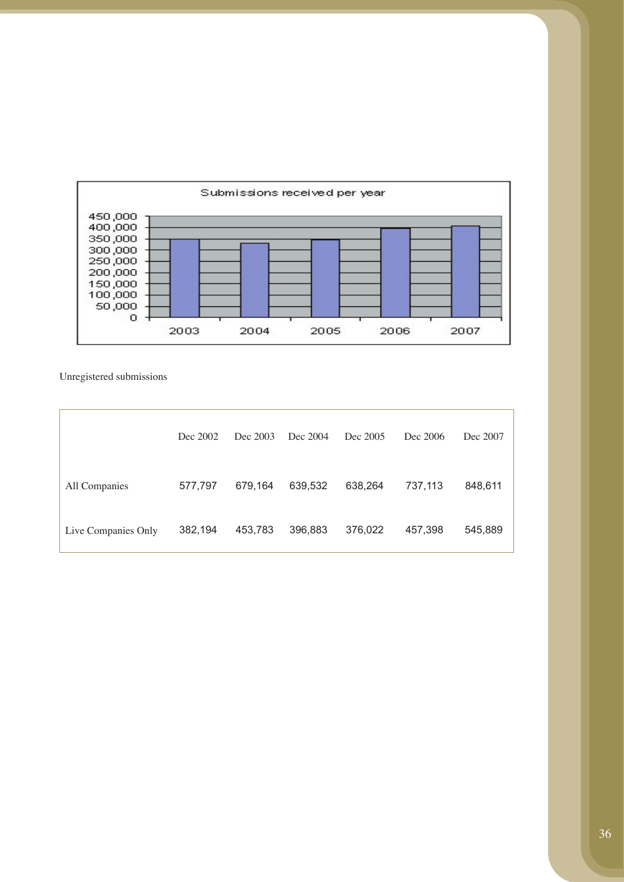

Unregistered submissions

|                     | Dec 2002 | Dec 2003 | Dec 2004 | Dec 2005 | Dec 2006 | Dec 2007 |
|---------------------|----------|----------|----------|----------|----------|----------|
| All Companies       | 577,797  | 679.164  | 639,532  | 638.264  | 737,113  | 848,611  |
| Live Companies Only | 382,194  | 453,783  | 396,883  | 376,022  | 457,398  | 545,889  |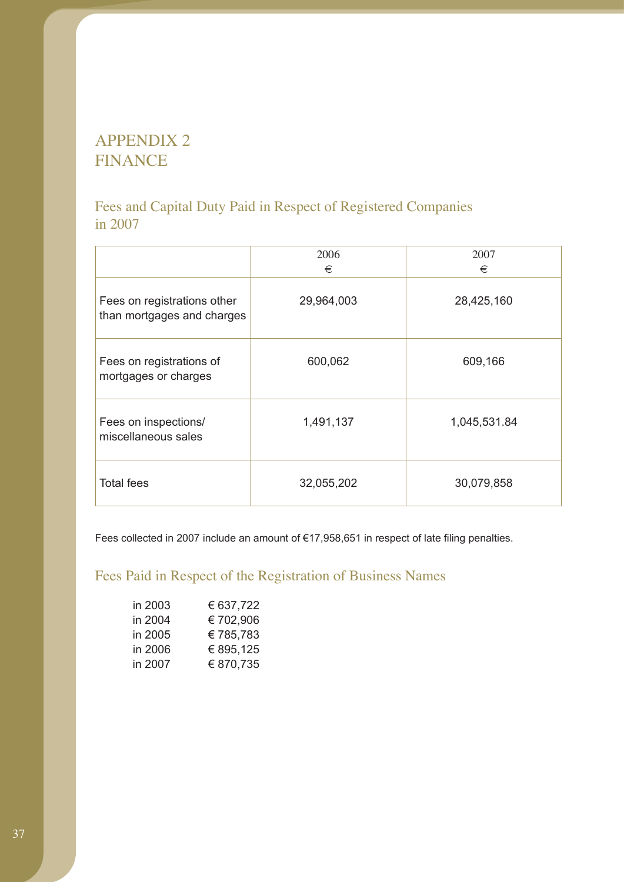# APPENDIX 2 FINANCE

# Fees and Capital Duty Paid in Respect of Registered Companies in 2007

|                                                           | 2006<br>€  | 2007<br>€    |
|-----------------------------------------------------------|------------|--------------|
| Fees on registrations other<br>than mortgages and charges | 29,964,003 | 28,425,160   |
| Fees on registrations of<br>mortgages or charges          | 600,062    | 609,166      |
| Fees on inspections/<br>miscellaneous sales               | 1,491,137  | 1,045,531.84 |
| <b>Total fees</b>                                         | 32,055,202 | 30,079,858   |

Fees collected in 2007 include an amount of €17,958,651 in respect of late filing penalties.

# Fees Paid in Respect of the Registration of Business Names

| in 2003 | € 637,722 |
|---------|-----------|
| in 2004 | €702,906  |
| in 2005 | €785,783  |
| in 2006 | € 895,125 |
| in 2007 | € 870,735 |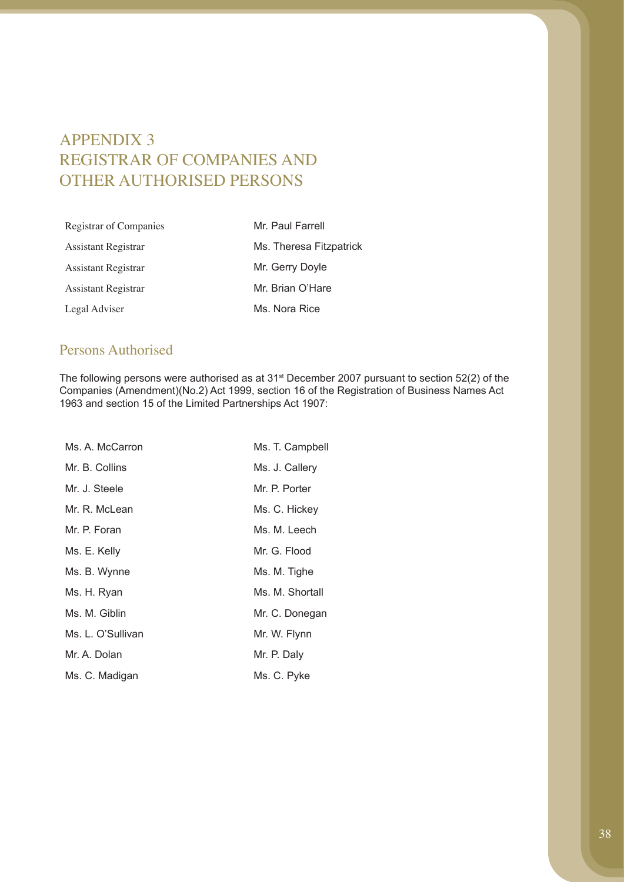# APPENDIX 3 REGISTRAR OF COMPANIES AND OTHER AUTHORISED PERSONS

| Registrar of Companies | Mr. Paul Farrell        |
|------------------------|-------------------------|
| Assistant Registrar    | Ms. Theresa Fitzpatrick |
| Assistant Registrar    | Mr. Gerry Doyle         |
| Assistant Registrar    | Mr. Brian O'Hare        |
| Legal Adviser          | Ms. Nora Rice           |

## Persons Authorised

The following persons were authorised as at 31st December 2007 pursuant to section 52(2) of the Companies (Amendment)(No.2) Act 1999, section 16 of the Registration of Business Names Act 1963 and section 15 of the Limited Partnerships Act 1907:

| Ms. A. McCarron   | Ms. T. Campbell |
|-------------------|-----------------|
| Mr. B. Collins    | Ms. J. Callery  |
| Mr. J. Steele     | Mr. P. Porter   |
| Mr. R. McLean     | Ms. C. Hickey   |
| Mr. P. Foran      | Ms. M. Leech    |
| Ms. E. Kelly      | Mr. G. Flood    |
| Ms. B. Wynne      | Ms. M. Tighe    |
| Ms. H. Ryan       | Ms. M. Shortall |
| Ms. M. Giblin     | Mr. C. Donegan  |
| Ms. L. O'Sullivan | Mr. W. Flynn    |
| Mr. A. Dolan      | Mr. P. Daly     |
| Ms. C. Madigan    | Ms. C. Pyke     |